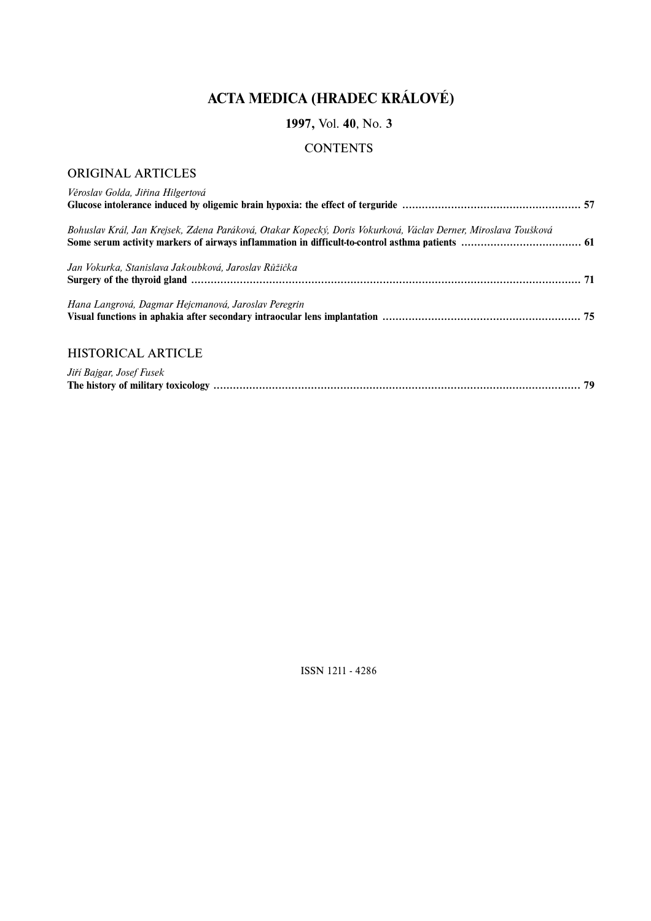# **ACTA MEDICA (HRADEC KRÁLOVÉ)**

# **1997,** Vol. **40**, No. **3**

# **CONTENTS**

# ORIGINAL ARTICLES

| Věroslav Golda, Jiřina Hilgertová                                                                              |  |
|----------------------------------------------------------------------------------------------------------------|--|
| Bohuslav Král, Jan Krejsek, Zdena Paráková, Otakar Kopecký, Doris Vokurková, Václav Derner, Miroslava Toušková |  |
| Jan Vokurka, Stanislava Jakoubková, Jaroslav Růžička                                                           |  |
| Hana Langrová, Dagmar Hejcmanová, Jaroslav Peregrin                                                            |  |
| <b>HISTORICAL ARTICLE</b>                                                                                      |  |
| Jiří Bajgar, Josef Fusek                                                                                       |  |

ISSN 1211 - 4286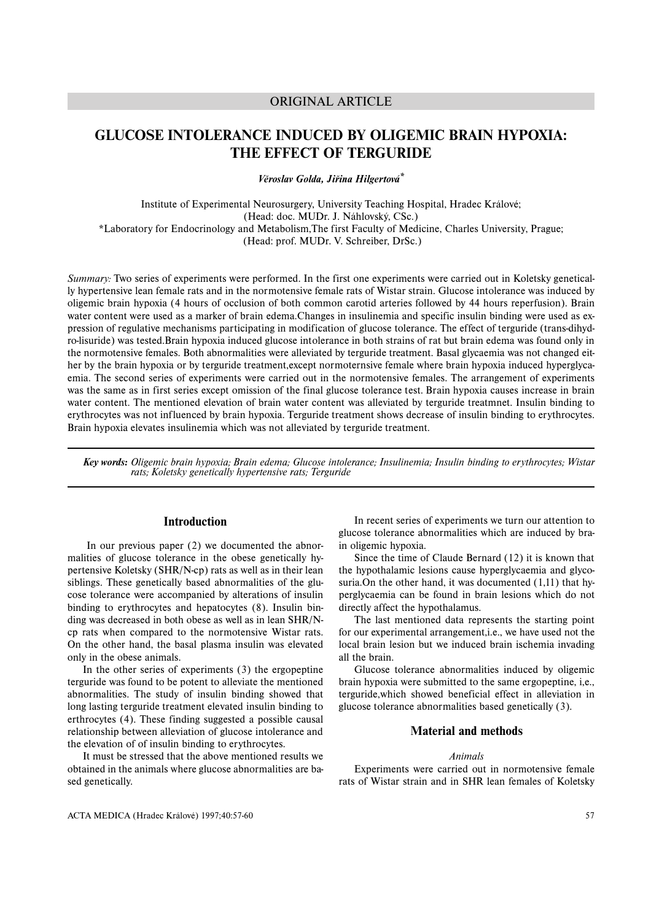# ORIGINAL ARTICLE

# **GLUCOSE INTOLERANCE INDUCED BY OLIGEMIC BRAIN HYPOXIA: THE EFFECT OF TERGURIDE**

*Věroslav Golda, Jiřina Hilgertová\**

Institute of Experimental Neurosurgery, University Teaching Hospital, Hradec Králové; (Head: doc. MUDr. J. Náhlovský, CSc.) \*Laboratory for Endocrinology and Metabolism,The first Faculty of Medicine, Charles University, Prague; (Head: prof. MUDr. V. Schreiber, DrSc.)

*Summary:* Two series of experiments were performed. In the first one experiments were carried out in Koletsky genetically hypertensive lean female rats and in the normotensive female rats of Wistar strain. Glucose intolerance was induced by oligemic brain hypoxia (4 hours of occlusion of both common carotid arteries followed by 44 hours reperfusion). Brain water content were used as a marker of brain edema.Changes in insulinemia and specific insulin binding were used as expression of regulative mechanisms participating in modification of glucose tolerance. The effect of terguride (trans-dihydro-lisuride) was tested.Brain hypoxia induced glucose intolerance in both strains of rat but brain edema was found only in the normotensive females. Both abnormalities were alleviated by terguride treatment. Basal glycaemia was not changed either by the brain hypoxia or by terguride treatment,except normoternsive female where brain hypoxia induced hyperglycaemia. The second series of experiments were carried out in the normotensive females. The arrangement of experiments was the same as in first series except omission of the final glucose tolerance test. Brain hypoxia causes increase in brain water content. The mentioned elevation of brain water content was alleviated by terguride treatmnet. Insulin binding to erythrocytes was not influenced by brain hypoxia. Terguride treatment shows decrease of insulin binding to erythrocytes. Brain hypoxia elevates insulinemia which was not alleviated by terguride treatment.

*Key words: Oligemic brain hypoxia; Brain edema; Glucose intolerance; Insulinemia; Insulin binding to erythrocytes; Wistar rats; Koletsky genetically hypertensive rats; Terguride*

# **Introduction**

In our previous paper (2) we documented the abnormalities of glucose tolerance in the obese genetically hypertensive Koletsky (SHR/N-cp) rats as well as in their lean siblings. These genetically based abnormalities of the glucose tolerance were accompanied by alterations of insulin binding to erythrocytes and hepatocytes (8). Insulin binding was decreased in both obese as well as in lean SHR/Ncp rats when compared to the normotensive Wistar rats. On the other hand, the basal plasma insulin was elevated only in the obese animals.

In the other series of experiments (3) the ergopeptine terguride was found to be potent to alleviate the mentioned abnormalities. The study of insulin binding showed that long lasting terguride treatment elevated insulin binding to erthrocytes (4). These finding suggested a possible causal relationship between alleviation of glucose intolerance and the elevation of of insulin binding to erythrocytes.

It must be stressed that the above mentioned results we obtained in the animals where glucose abnormalities are based genetically.

In recent series of experiments we turn our attention to glucose tolerance abnormalities which are induced by brain oligemic hypoxia.

Since the time of Claude Bernard (12) it is known that the hypothalamic lesions cause hyperglycaemia and glycosuria.On the other hand, it was documented (1,11) that hyperglycaemia can be found in brain lesions which do not directly affect the hypothalamus.

The last mentioned data represents the starting point for our experimental arrangement,i.e., we have used not the local brain lesion but we induced brain ischemia invading all the brain.

Glucose tolerance abnormalities induced by oligemic brain hypoxia were submitted to the same ergopeptine, i,e., terguride,which showed beneficial effect in alleviation in glucose tolerance abnormalities based genetically (3).

# **Material and methods**

## *Animals*

Experiments were carried out in normotensive female rats of Wistar strain and in SHR lean females of Koletsky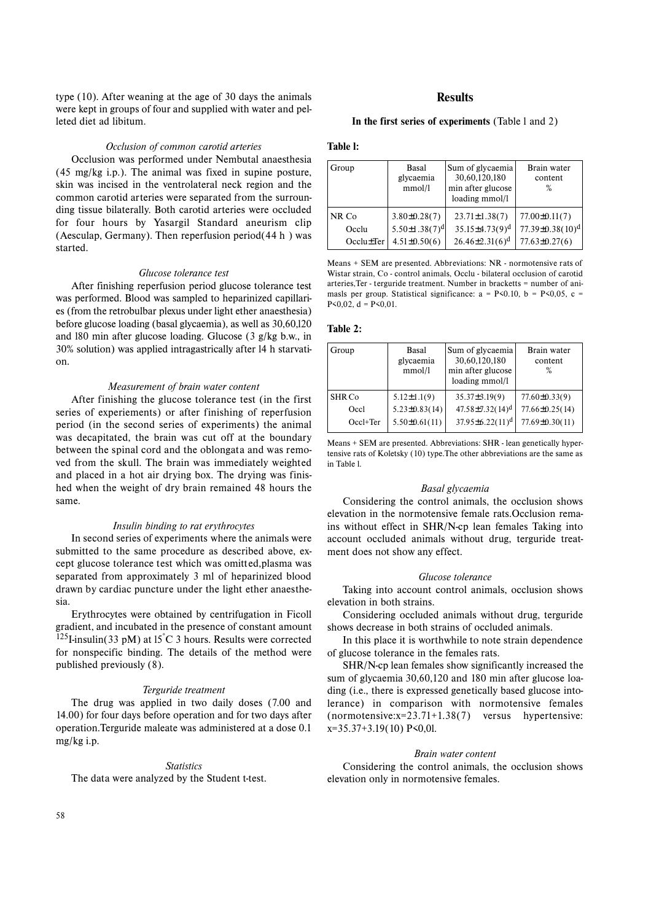type (10). After weaning at the age of 30 days the animals were kept in groups of four and supplied with water and pelleted diet ad libitum.

#### *Occlusion of common carotid arteries*

Occlusion was performed under Nembutal anaesthesia (45 mg/kg i.p.). The animal was fixed in supine posture, skin was incised in the ventrolateral neck region and the common carotid arteries were separated from the surrounding tissue bilaterally. Both carotid arteries were occluded for four hours by Yasargil Standard aneurism clip (Aesculap, Germany). Then reperfusion period(44 h ) was started.

#### *Glucose tolerance test*

After finishing reperfusion period glucose tolerance test was performed. Blood was sampled to heparinized capillaries (from the retrobulbar plexus under light ether anaesthesia) before glucose loading (basal glycaemia), as well as 30,60,l20 and l80 min after glucose loading. Glucose (3 g/kg b.w., in 30% solution) was applied intragastrically after l4 h starvation.

## *Measurement of brain water content*

After finishing the glucose tolerance test (in the first series of experiements) or after finishing of reperfusion period (in the second series of experiments) the animal was decapitated, the brain was cut off at the boundary between the spinal cord and the oblongata and was removed from the skull. The brain was immediately weighted and placed in a hot air drying box. The drying was finished when the weight of dry brain remained 48 hours the same.

#### *Insulin binding to rat erythrocytes*

In second series of experiments where the animals were submitted to the same procedure as described above, except glucose tolerance test which was omitted,plasma was separated from approximately 3 ml of heparinized blood drawn by cardiac puncture under the light ether anaesthesia.

Erythrocytes were obtained by centrifugation in Ficoll gradient, and incubated in the presence of constant amount  $125$ I-insulin(33 pM) at 15°C 3 hours. Results were corrected for nonspecific binding. The details of the method were published previously (8).

## *Terguride treatment*

The drug was applied in two daily doses (7.00 and 14.00) for four days before operation and for two days after operation.Terguride maleate was administered at a dose 0.1 mg/kg i.p.

#### *Statistics*

The data were analyzed by the Student t-test.

## **Results**

## **In the first series of experiments** (Table l and 2)

#### **Table l:**

| Group           | <b>Basal</b><br>glycaemia<br>mmol/l | Sum of glycaemia<br>30,60,120,180<br>min after glucose<br>loading mmol/l | Brain water<br>content<br>$\%$ |
|-----------------|-------------------------------------|--------------------------------------------------------------------------|--------------------------------|
| NR Co           | $3.80 \pm 0.28(7)$                  | $23.71 \pm 1.38(7)$                                                      | $77.00 \pm 0.11(7)$            |
| Occlu           | 5.50 $\pm$ 1.38(7) <sup>d</sup>     | $35.15 \pm 4.73(9)^d$                                                    | $77.39 \pm 0.38(10)^d$         |
| $Occlu \pm Ter$ | $4.51 \pm 0.50(6)$                  | $26.46\pm2.31(6)^d$                                                      | $77.63 \pm 0.27(6)$            |

Means + SEM are presented. Abbreviations: NR - normotensive rats of Wistar strain, Co - control animals, Occlu - bilateral occlusion of carotid arteries,Ter - terguride treatment. Number in bracketts = number of animasls per group. Statistical significance:  $a = P \le 0.10$ ,  $b = P \le 0.05$ , c =  $P \le 0.02$ ,  $d = P \le 0.01$ .

# **Table 2:**

| Group    | Basal<br>glycaemia<br>mmol/l | Sum of glycaemia<br>30,60,120,180<br>min after glucose<br>loading mmol/l | Brain water<br>content<br>$\%$ |
|----------|------------------------------|--------------------------------------------------------------------------|--------------------------------|
| SHR Co   | $5.12 \pm 1.1(9)$            | $35.37 \pm 3.19(9)$                                                      | $77.60 \pm 0.33(9)$            |
| Occl     | $5.23\pm0.83(14)$            | $47.58 \pm 7.32(14)^d$                                                   | $77.66 \pm 0.25(14)$           |
| Occl+Ter | $5.50 \pm 0.61(11)$          | $37.95 \pm 6.22(11)^d$                                                   | 77.69±0.30(11)                 |

Means + SEM are presented. Abbreviations: SHR - lean genetically hypertensive rats of Koletsky (10) type.The other abbreviations are the same as in Table l.

#### *Basal glycaemia*

Considering the control animals, the occlusion shows elevation in the normotensive female rats.Occlusion remains without effect in SHR/N-cp lean females Taking into account occluded animals without drug, terguride treatment does not show any effect.

#### *Glucose tolerance*

Taking into account control animals, occlusion shows elevation in both strains.

Considering occluded animals without drug, terguride shows decrease in both strains of occluded animals.

In this place it is worthwhile to note strain dependence of glucose tolerance in the females rats.

SHR/N-cp lean females show significantly increased the sum of glycaemia 30,60,120 and 180 min after glucose loading (i.e., there is expressed genetically based glucose intolerance) in comparison with normotensive females (normotensive:x=23.71+1.38(7) versus hypertensive: x=35.37+3.19(10) P<0,0l.

### *Brain water content*

Considering the control animals, the occlusion shows elevation only in normotensive females.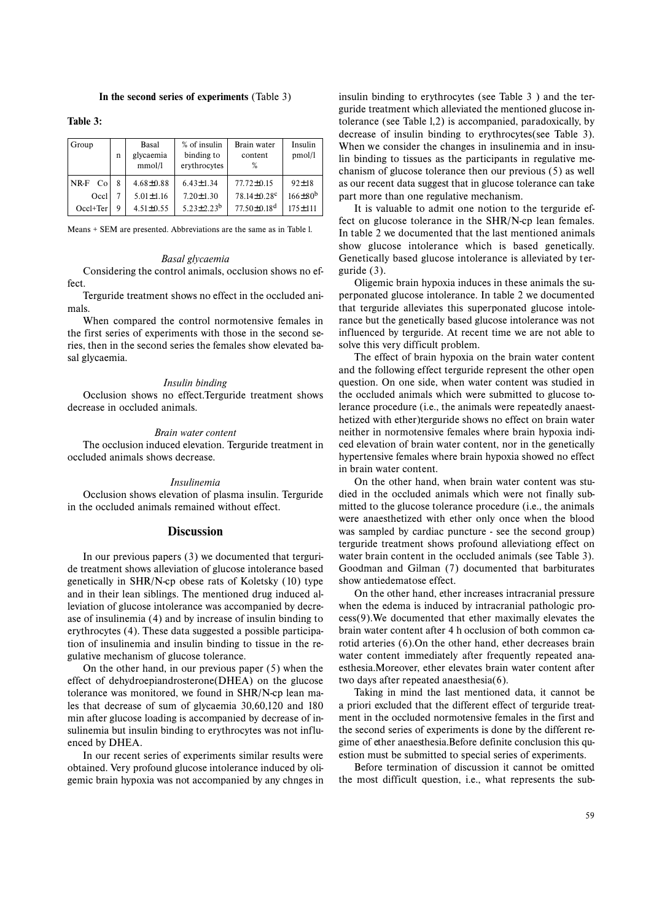## **In the second series of experiments** (Table 3)

**Table 3:**

| Group        | n | Basal<br>glycaemia<br>mmol/l | % of insulin<br>binding to<br>erythrocytes | Brain water<br>content<br>%   | Insulin<br>pmol/l |
|--------------|---|------------------------------|--------------------------------------------|-------------------------------|-------------------|
| $NR-F$<br>Co | 8 | $4.68 \pm 0.88$              | $6.43 \pm 1.34$                            | $77.72 \pm 0.15$              | $92 \pm 18$       |
| Occl         |   | $5.01 \pm 1.16$              | $7.20 \pm 1.30$                            | $78.14 \pm 0.28$ c            | $166 \pm 80^{b}$  |
| Occl+Ter     | Q | $4.51 \pm 0.55$              | $5.23 \pm 2.23^b$                          | $77.50 \pm 0.18$ <sup>d</sup> | $175 \pm 111$     |

Means + SEM are presented. Abbreviations are the same as in Table l.

#### *Basal glycaemia*

Considering the control animals, occlusion shows no effect.

Terguride treatment shows no effect in the occluded animals.

When compared the control normotensive females in the first series of experiments with those in the second series, then in the second series the females show elevated basal glycaemia.

#### *Insulin binding*

Occlusion shows no effect.Terguride treatment shows decrease in occluded animals.

#### *Brain water content*

The occlusion induced elevation. Terguride treatment in occluded animals shows decrease.

#### *Insulinemia*

Occlusion shows elevation of plasma insulin. Terguride in the occluded animals remained without effect.

## **Discussion**

In our previous papers (3) we documented that terguride treatment shows alleviation of glucose intolerance based genetically in SHR/N-cp obese rats of Koletsky (10) type and in their lean siblings. The mentioned drug induced alleviation of glucose intolerance was accompanied by decrease of insulinemia (4) and by increase of insulin binding to erythrocytes (4). These data suggested a possible participation of insulinemia and insulin binding to tissue in the regulative mechanism of glucose tolerance.

On the other hand, in our previous paper (5) when the effect of dehydroepiandrosterone(DHEA) on the glucose tolerance was monitored, we found in SHR/N-cp lean males that decrease of sum of glycaemia 30,60,120 and 180 min after glucose loading is accompanied by decrease of insulinemia but insulin binding to erythrocytes was not influenced by DHEA.

In our recent series of experiments similar results were obtained. Very profound glucose intolerance induced by oligemic brain hypoxia was not accompanied by any chnges in insulin binding to erythrocytes (see Table 3 ) and the terguride treatment which alleviated the mentioned glucose intolerance (see Table l,2) is accompanied, paradoxically, by decrease of insulin binding to erythrocytes(see Table 3). When we consider the changes in insulinemia and in insulin binding to tissues as the participants in regulative mechanism of glucose tolerance then our previous (5) as well as our recent data suggest that in glucose tolerance can take part more than one regulative mechanism.

It is valuable to admit one notion to the terguride effect on glucose tolerance in the SHR/N-cp lean females. In table 2 we documented that the last mentioned animals show glucose intolerance which is based genetically. Genetically based glucose intolerance is alleviated by terguride (3).

Oligemic brain hypoxia induces in these animals the superponated glucose intolerance. In table 2 we documented that terguride alleviates this superponated glucose intolerance but the genetically based glucose intolerance was not influenced by terguride. At recent time we are not able to solve this very difficult problem.

The effect of brain hypoxia on the brain water content and the following effect terguride represent the other open question. On one side, when water content was studied in the occluded animals which were submitted to glucose tolerance procedure (i.e., the animals were repeatedly anaesthetized with ether)terguride shows no effect on brain water neither in normotensive females where brain hypoxia indiced elevation of brain water content, nor in the genetically hypertensive females where brain hypoxia showed no effect in brain water content.

On the other hand, when brain water content was studied in the occluded animals which were not finally submitted to the glucose tolerance procedure (i.e., the animals were anaesthetized with ether only once when the blood was sampled by cardiac puncture - see the second group) terguride treatment shows profound alleviationg effect on water brain content in the occluded animals (see Table 3). Goodman and Gilman (7) documented that barbiturates show antiedematose effect.

On the other hand, ether increases intracranial pressure when the edema is induced by intracranial pathologic process(9).We documented that ether maximally elevates the brain water content after 4 h occlusion of both common carotid arteries (6).On the other hand, ether decreases brain water content immediately after frequently repeated anaesthesia.Moreover, ether elevates brain water content after two days after repeated anaesthesia(6).

Taking in mind the last mentioned data, it cannot be <sup>a</sup> priori excluded that the different effect of terguride treatment in the occluded normotensive females in the first and the second series of experiments is done by the different regime of ether anaesthesia.Before definite conclusion this question must be submitted to special series of experiments.

Before termination of discussion it cannot be omitted the most difficult question, i.e., what represents the sub-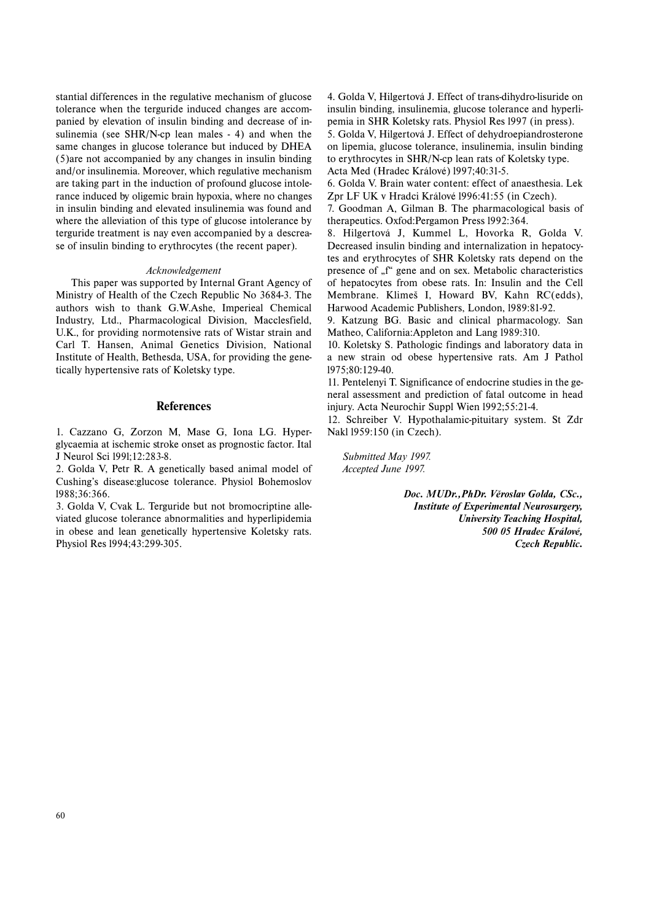stantial differences in the regulative mechanism of glucose tolerance when the terguride induced changes are accompanied by elevation of insulin binding and decrease of insulinemia (see SHR/N-cp lean males - 4) and when the same changes in glucose tolerance but induced by DHEA (5)are not accompanied by any changes in insulin binding and/or insulinemia. Moreover, which regulative mechanism are taking part in the induction of profound glucose intolerance induced by oligemic brain hypoxia, where no changes in insulin binding and elevated insulinemia was found and where the alleviation of this type of glucose intolerance by terguride treatment is nay even accompanied by a descrease of insulin binding to erythrocytes (the recent paper).

## *Acknowledgement*

This paper was supported by Internal Grant Agency of Ministry of Health of the Czech Republic No 3684-3. The authors wish to thank G.W.Ashe, Imperieal Chemical Industry, Ltd., Pharmacological Division, Macclesfield, U.K., for providing normotensive rats of Wistar strain and Carl T. Hansen, Animal Genetics Division, National Institute of Health, Bethesda, USA, for providing the genetically hypertensive rats of Koletsky type.

# **References**

1. Cazzano G, Zorzon M, Mase G, Iona LG. Hyperglycaemia at ischemic stroke onset as prognostic factor. Ital J Neurol Sci l99l;12:283-8.

2. Golda V, Petr R. A genetically based animal model of Cushing's disease:glucose tolerance. Physiol Bohemoslov l988;36:366.

3. Golda V, Cvak L. Terguride but not bromocriptine alleviated glucose tolerance abnormalities and hyperlipidemia in obese and lean genetically hypertensive Koletsky rats. Physiol Res l994;43:299-305.

4. Golda V, Hilgertová J. Effect of trans-dihydro-lisuride on insulin binding, insulinemia, glucose tolerance and hyperlipemia in SHR Koletsky rats. Physiol Res l997 (in press). 5. Golda V, Hilgertová J. Effect of dehydroepiandrosterone on lipemia, glucose tolerance, insulinemia, insulin binding to erythrocytes in SHR/N-cp lean rats of Koletsky type.

Acta Med (Hradec Králové) l997;40:31-5.

6. Golda V. Brain water content: effect of anaesthesia. Lek Zpr LF UK v Hradci Králové l996:41:55 (in Czech).

7. Goodman A, Gilman B. The pharmacological basis of therapeutics. Oxfod:Pergamon Press l992:364.

8. Hilgertová J, Kummel L, Hovorka R, Golda V. Decreased insulin binding and internalization in hepatocytes and erythrocytes of SHR Koletsky rats depend on the presence of "f" gene and on sex. Metabolic characteristics of hepatocytes from obese rats. In: Insulin and the Cell Membrane. Klimeš I, Howard BV, Kahn RC(edds), Harwood Academic Publishers, London, l989:81-92.

9. Katzung BG. Basic and clinical pharmacology. San Matheo, California:Appleton and Lang l989:310.

10. Koletsky S. Pathologic findings and laboratory data in <sup>a</sup> new strain od obese hypertensive rats. Am J Pathol l975;80:129-40.

11. Pentelenyi T. Significance of endocrine studies in the general assessment and prediction of fatal outcome in head injury. Acta Neurochir Suppl Wien l992;55:21-4.

12. Schreiber V. Hypothalamic-pituitary system. St Zdr Nakl l959:150 (in Czech).

*Submitted May 1997. Accepted June 1997.*

> *Doc. MUDr.,PhDr. Věroslav Golda, CSc., Institute of Experimental Neurosurgery, University Teaching Hospital, 500 05 Hradec Králové, Czech Republic.*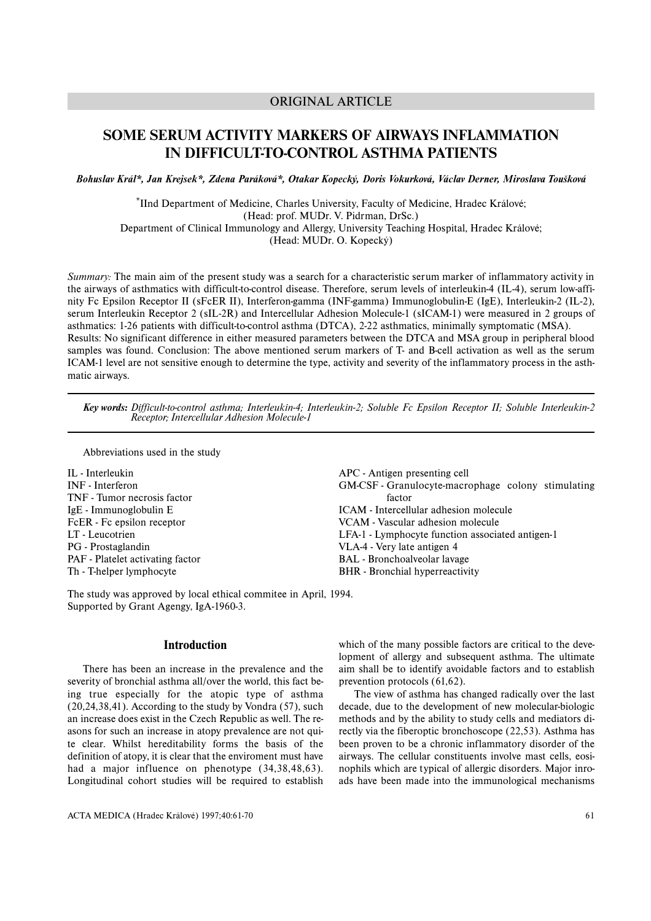# ORIGINAL ARTICLE

# **SOME SERUM ACTIVITY MARKERS OF AIRWAYS INFLAMMATION IN DIFFICULT-TO-CONTROL ASTHMA PATIENTS**

*Bohuslav Král\*, Jan Krejsek\*, Zdena Paráková\*, Otakar Kopecký, Doris Vokurková, Václav Derner, Miroslava Toušková*

\*IInd Department of Medicine, Charles University, Faculty of Medicine, Hradec Králové; (Head: prof. MUDr. V. Pidrman, DrSc.) Department of Clinical Immunology and Allergy, University Teaching Hospital, Hradec Králové; (Head: MUDr. O. Kopecký)

*Summary:* The main aim of the present study was a search for a characteristic serum marker of inflammatory activity in the airways of asthmatics with difficult-to-control disease. Therefore, serum levels of interleukin-4 (IL-4), serum low-affinity Fc Epsilon Receptor II (sFcER II), Interferon-gamma (INF-gamma) Immunoglobulin-E (IgE), Interleukin-2 (IL-2), serum Interleukin Receptor 2 (sIL-2R) and Intercellular Adhesion Molecule-1 (sICAM-1) were measured in 2 groups of asthmatics: 1-26 patients with difficult-to-control asthma (DTCA), 2-22 asthmatics, minimally symptomatic (MSA). Results: No significant difference in either measured parameters between the DTCA and MSA group in peripheral blood samples was found. Conclusion: The above mentioned serum markers of T- and B-cell activation as well as the serum ICAM-1 level are not sensitive enough to determine the type, activity and severity of the inflammatory process in the asthmatic airways.

*Key words: Difficult-to-control asthma; Interleukin-4; Interleukin-2; Soluble Fc Epsilon Receptor II; Soluble Interleukin-2 Receptor; Intercellular Adhesion Molecule-1*

Abbreviations used in the study

IL - Interleukin INF - Interferon TNF - Tumor necrosis factor IgE - Immunoglobulin E FcER - Fc ensilon receptor LT - Leucotrien PG - Prostaglandin PAF - Platelet activating factor Th - T-helper lymphocyte APC - Antigen presenting cell GM-CSF - Granulocyte-macrophage colony stimulating factor ICAM - Intercellular adhesion molecule VCAM - Vascular adhesion molecule LFA-1 - Lymphocyte function associated antigen-1 VLA-4 - Very late antigen 4 BAL - Bronchoalveolar lavage BHR - Bronchial hyperreactivity

The study was approved by local ethical commitee in April, 1994. Supported by Grant Agengy, IgA-1960-3.

# **Introduction**

There has been an increase in the prevalence and the severity of bronchial asthma all/over the world, this fact being true especially for the atopic type of asthma (20,24,38,41). According to the study by Vondra (57), such an increase does exist in the Czech Republic as well. The reasons for such an increase in atopy prevalence are not quite clear. Whilst hereditability forms the basis of the definition of atopy, it is clear that the enviroment must have had a major influence on phenotype (34,38,48,63). Longitudinal cohort studies will be required to establish which of the many possible factors are critical to the development of allergy and subsequent asthma. The ultimate aim shall be to identify avoidable factors and to establish prevention protocols (61,62).

The view of asthma has changed radically over the last decade, due to the development of new molecular-biologic methods and by the ability to study cells and mediators directly via the fiberoptic bronchoscope (22,53). Asthma has been proven to be a chronic inflammatory disorder of the airways. The cellular constituents involve mast cells, eosinophils which are typical of allergic disorders. Major inroads have been made into the immunological mechanisms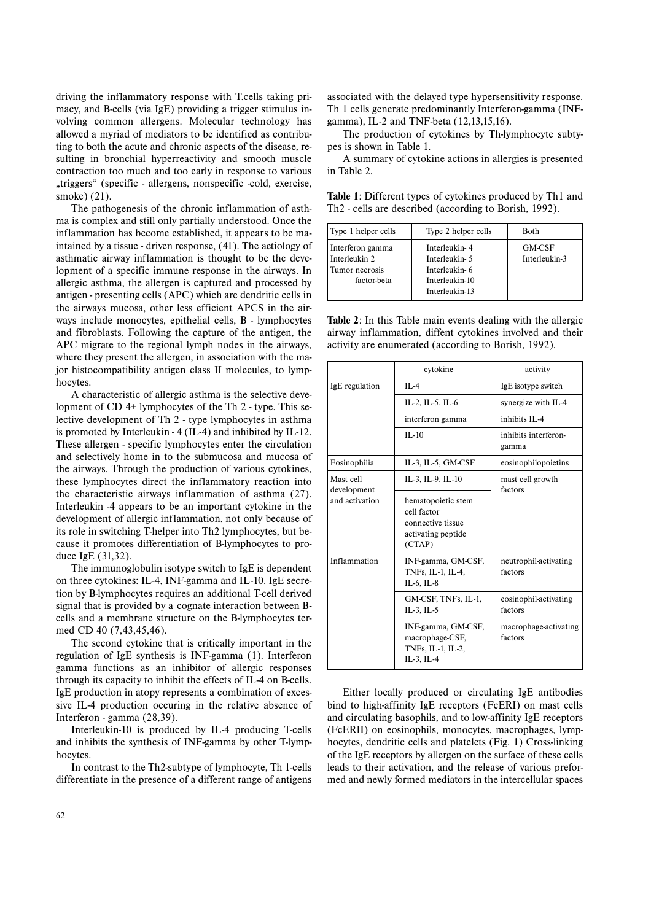driving the inflammatory response with T.cells taking primacy, and B-cells (via IgE) providing a trigger stimulus involving common allergens. Molecular technology has allowed a myriad of mediators to be identified as contributing to both the acute and chronic aspects of the disease, resulting in bronchial hyperreactivity and smooth muscle contraction too much and too early in response to various "triggers" (specific - allergens, nonspecific -cold, exercise, smoke) (21).

The pathogenesis of the chronic inflammation of asthma is complex and still only partially understood. Once the inflammation has become established, it appears to be maintained by a tissue - driven response, (41). The aetiology of asthmatic airway inflammation is thought to be the development of a specific immune response in the airways. In allergic asthma, the allergen is captured and processed b y antigen - presenting cells (APC) which are dendritic cells in the airways mucosa, other less efficient APCS in the airways include monocytes, epithelial cells, B - lymphocytes and fibroblasts. Following the capture of the antigen, the APC migrate to the regional lymph nodes in the airways, where they present the allergen, in association with the major histocompatibility antigen class II molecules, to lymphocytes.

A characteristic of allergic asthma is the selective development of CD 4+ lymphocytes of the Th 2 - type. This selective de velopment of Th 2 - type lymphocytes in asthma is promoted by Interleukin - 4 (IL-4) and inhibited by IL-12. These allergen - specific lymphocytes enter the circulation and selectively home in to the submucosa and mucosa of the airways. Through the production of various cytokines, these lymphocytes direct the inflammatory reaction into the characteristic airways inflammation of asthma (27). Interleukin -4 appears to be an important cytokine in the de velopment of allergic inflammation, not only because of its role in switching T-helper into Th2 lymphocytes, but because it promotes differentiation of B-lymphocytes to produce IgE (31,32).

The immunoglobulin isotype switch to IgE is dependent on three cytokines: IL-4, INF-gamma and IL-10. IgE secretion by B-lymphocytes requires an additional T-cell derived signal that is provided by a cognate interaction between Bcells and a membrane structure on the B-lymphocytes termed CD 40 (7,43,45,46).

The second cytokine that is critically important in the regulation of IgE synthesis is INF-gamma (1). Interferon gamma functions as an inhibitor of allergic responses through its capacity to inhibit the effects of IL-4 on B-cells. IgE production in atopy represents a combination of excessive IL-4 production occuring in the relative absence of Interferon - gamma (28,39).

Interleukin-10 is produced by IL-4 producing T-cells and inhibits the synthesis of INF-gamma by other T-lymphocytes.

In contrast to the Th2-subtype of lymphocyte, Th 1-cells differentiate in the presence of a different range of antigens

associated with the delayed type hypersensitivity response. Th 1 cells generate predominantly Interferon-gamma (INFgamma), IL-2 and TNF-beta (12,13,15,16).

The production of cytokines by Th-lymphocyte subtypes is shown in Table 1.

A summary of cytokine actions in allergies is presented in Table 2.

**Table 1**: Different types of cytokines produced by Th1 and Th2 - cells are described (according to Borish, 1992).

| Type 1 helper cells                                                | Type 2 helper cells                                                                   | <b>Both</b>                    |
|--------------------------------------------------------------------|---------------------------------------------------------------------------------------|--------------------------------|
| Interferon gamma<br>Interleukin 2<br>Tumor necrosis<br>factor-beta | Interleukin-4<br>Interleukin- 5<br>Interleukin- 6<br>Interleukin-10<br>Interleukin-13 | <b>GM-CSF</b><br>Interleukin-3 |

**Table 2:** In this Table main events dealing with the allergic airway inflammation, diffent cytokines involved and their activity are enumerated (according to Borish, 1992).

|                          | cytokine                                                                               | activity                         |
|--------------------------|----------------------------------------------------------------------------------------|----------------------------------|
| IgE regulation           | $IL-4$                                                                                 | IgE isotype switch               |
|                          | IL-2, IL-5, IL-6                                                                       | synergize with IL-4              |
|                          | interferon gamma                                                                       | inhibits IL-4                    |
|                          | $II - 10$                                                                              | inhibits interferon-<br>gamma    |
| Eosinophilia             | IL-3, IL-5, GM-CSF                                                                     | eosinophilopoietins              |
| Mast cell<br>development | IL-3, IL-9, IL-10                                                                      | mast cell growth<br>factors      |
| and activation           | hematopoietic stem<br>cell factor<br>connective tissue<br>activating peptide<br>(CTAP) |                                  |
| Inflammation             | INF-gamma, GM-CSF,<br>TNFs, IL-1, IL-4,<br>IL-6, IL-8                                  | neutrophil-activating<br>factors |
|                          | GM-CSF, TNFs, IL-1,<br>IL $-3$ , IL $-5$                                               | eosinophil-activating<br>factors |
|                          | INF-gamma, GM-CSF,<br>macrophage-CSF,<br>TNFs, IL-1, IL-2,<br>IL-3. IL-4               | macrophage-activating<br>factors |

Either locally produced or circulating IgE antibodies bind to high-affinity IgE receptors (FcERI) on mast cells and circulating basophils, and to low-affinity IgE receptors (FcERII) on eosinophils, monocytes, macrophages, lymphocytes, dendritic cells and platelets (Fig. 1) Cross-linking of the IgE receptors by allergen on the surface of these cells leads to their activation, and the release of various preformed and newly formed mediators in the intercellular spaces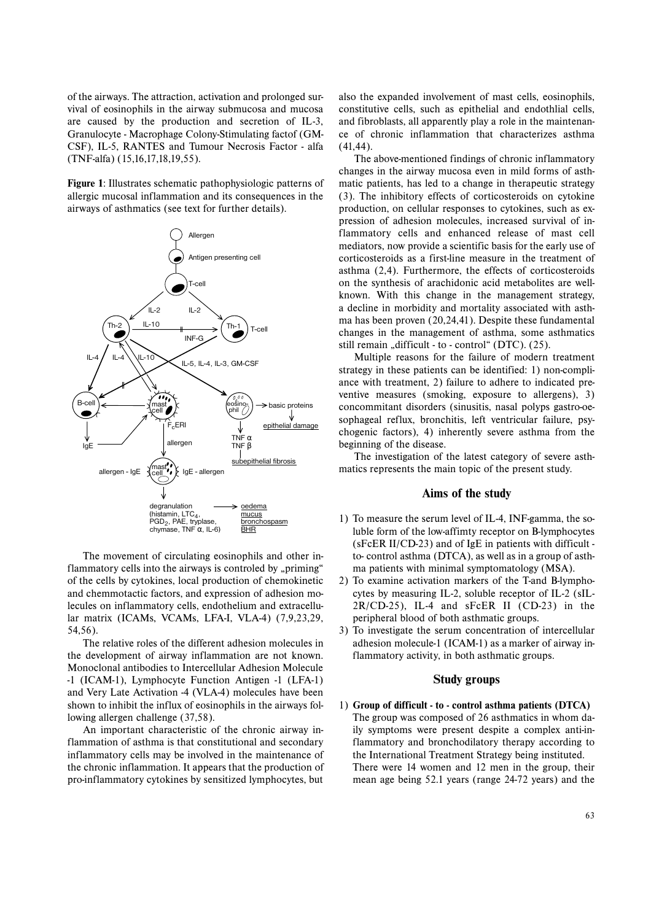of the airways. The attraction, activation and prolonged survival of eosinophils in the airway submucosa and mucosa are caused by the production and secretion of IL-3, Granulocyte - Macrophage Colony-Stimulating factof (GM-CSF), IL-5, RANTES and Tumour Necrosis Factor - alfa (TNF-alfa) (15,16,17,18,19,55).

**Figure 1**: Illustrates schematic pathophysiologic patterns of allergic mucosal inflammation and its consequences in the airways of asthmatics (see text for further details).



The movement of circulating eosinophils and other inflammatory cells into the airways is controled by "priming" of the cells by cytokines, local production of chemokinetic and chemmotactic factors, and expression of adhesion molecules on inflammatory cells, endothelium and extracellular matrix (ICAMs, VCAMs, LFA-I, VLA-4) (7,9,23,29, 54,56).

The relative roles of the different adhesion molecules in the development of airway inflammation are not known. Monoclonal antibodies to Intercellular Adhesion Molecule -1 (ICAM-1), Lymphocyte Function Antigen -1 (LFA-1) and Very Late Activation -4 (VLA-4) molecules have been shown to inhibit the influx of eosinophils in the airways following allergen challenge (37,58).

An important characteristic of the chronic airway inflammation of asthma is that constitutional and secondary inflammatory cells may be involved in the maintenance of the chronic inflammation. It appears that the production of pro-inflammatory cytokines by sensitized lymphocytes, but

also the expanded involvement of mast cells, eosinophils, constitutive cells, such as epithelial and endothlial cells, and fibroblasts, all apparently play a role in the maintenance of chronic inflammation that characterizes asthma (41,44).

The above-mentioned findings of chronic inflammatory changes in the airway mucosa even in mild forms of asthmatic patients, has led to a change in therapeutic strategy (3). The inhibitory effects of corticosteroids on cytokine production, on cellular responses to cytokines, such as expression of adhesion molecules, increased survival of inflammatory cells and enhanced release of mast cell mediators, now provide a scientific basis for the early use of corticosteroids as a first-line measure in the treatment of asthma (2,4). Furthermore, the effects of corticosteroids on the synthesis of arachidonic acid metabolites are wellknown. With this change in the management strategy, <sup>a</sup> decline in morbidity and mortality associated with asthma has been proven (20,24,41). Despite these fundamental changes in the management of asthma, some asthmatics still remain "difficult - to - control" (DTC). (25).

Multiple reasons for the failure of modern treatment strategy in these patients can be identified: 1) non-compliance with treatment, 2) failure to adhere to indicated preventive measures (smoking, exposure to allergens), 3) concommitant disorders (sinusitis, nasal polyps gastro-oesophageal reflux, bronchitis, left ventricular failure, psychogenic factors), 4) inherently severe asthma from the beginning of the disease.

The investigation of the latest category of severe asthmatics represents the main topic of the present study.

## **Aims of the study**

- 1) To measure the serum level of IL-4, INF-gamma, the soluble form of the low-affimty receptor on B-lymphocytes (sFcER II/CD-23) and of IgE in patients with difficult to- control asthma (DTCA), as well as in a group of asthma patients with minimal symptomatology (MSA).
- 2) To examine activation markers of the T-and B-lymphocytes by measuring IL-2, soluble receptor of IL-2 (sIL-2R/CD-25), IL-4 and sFcER II (CD-23) in the peripheral blood of both asthmatic groups.
- 3) To investigate the serum concentration of intercellular adhesion molecule-1 (ICAM-1) as a marker of airway inflammatory activity, in both asthmatic groups.

# **Study groups**

1) **Group of difficult - to - control asthma patients (DTCA)** The group was composed of 26 asthmatics in whom daily symptoms were present despite a complex anti-inflammatory and bronchodilatory therapy according to the International Treatment Strategy being instituted. There were 14 women and 12 men in the group, their mean age being 52.1 years (range 24-72 years) and the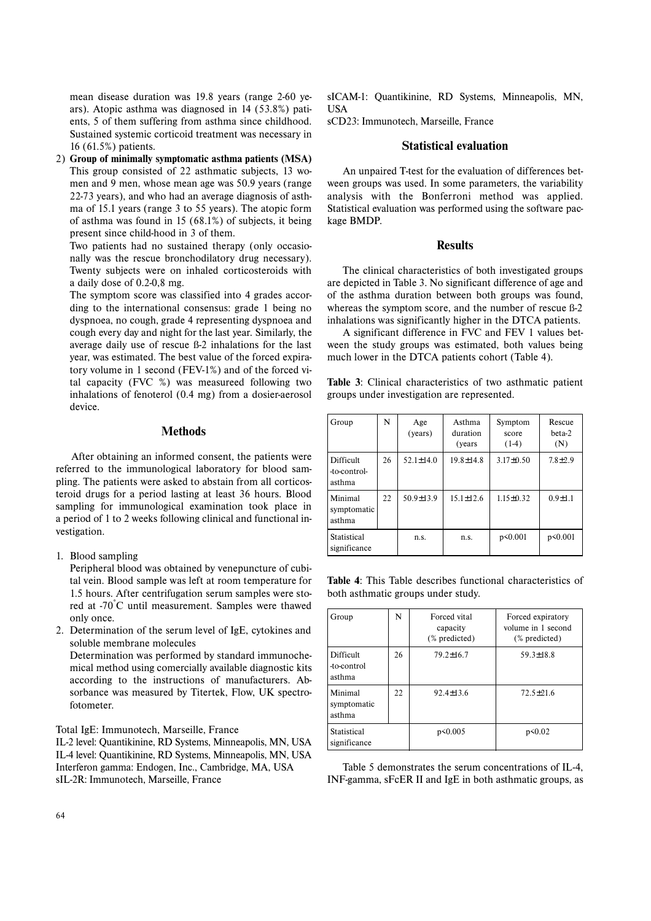mean disease duration was 19.8 years (range 2-60 years). Atopic asthma was diagnosed in 14 (53.8%) patients, 5 of them suffering from asthma since childhood. Sustained systemic corticoid treatment was necessary in 16 (61.5%) patients.

2) **Group of minimally symptomatic asthma patients (MSA)** This group consisted of 22 asthmatic subjects, 13 women and 9 men, whose mean age was 50.9 years (range 22-73 years), and who had an average diagnosis of asthma of 15.1 years (range 3 to 55 years). The atopic form of asthma was found in 15 (68.1%) of subjects, it being present since child-hood in 3 of them.

Two patients had no sustained therapy (only occasionally was the rescue bronchodilatory drug necessary). Twenty subjects were on inhaled corticosteroids with <sup>a</sup> daily dose of 0.2-0,8 mg.

The symptom score was classified into 4 grades according to the international consensus: grade 1 being no dyspnoea, no cough, grade 4 representing dyspnoea and cough every day and night for the last year. Similarly, the average daily use of rescue ß-2 inhalations for the last year, was estimated. The best value of the forced expiratory volume in 1 second (FEV-1%) and of the forced vital capacity (FVC %) was measureed following two inhalations of fenoterol (0.4 mg) from a dosier-aerosol device.

# **Methods**

After obtaining an informed consent, the patients were referred to the immunological laboratory for blood sampling. The patients were asked to abstain from all corticosteroid drugs for a period lasting at least 36 hours. Blood sampling for immunological examination took place in <sup>a</sup> period of 1 to 2 weeks following clinical and functional investigation.

1. Blood sampling

Peripheral blood was obtained by venepuncture of cubital vein. Blood sample was left at room temperature for 1.5 hours. After centrifugation serum samples were stored at -70°C until measurement. Samples were thawed only once.

2. Determination of the serum level of IgE, cytokines and soluble membrane molecules Determination was performed by standard immunochemical method using comercially available diagnostic kits according to the instructions of manufacturers. Absorbance was measured by Titertek, Flow, UK spectrofotometer.

Total IgE: Immunotech, Marseille, France

IL-2 level: Quantikinine, RD Systems, Minneapolis, MN, USA IL-4 level: Quantikinine, RD Systems, Minneapolis, MN, USA Interferon gamma: Endogen, Inc., Cambridge, MA, USA sIL-2R: Immunotech, Marseille, France

sICAM-1: Quantikinine, RD Systems, Minneapolis, MN, **IISA** 

sCD23: Immunotech, Marseille, France

### **Statistical evaluation**

An unpaired T-test for the evaluation of differences between groups was used. In some parameters, the variability analysis with the Bonferroni method was applied. Statistical evaluation was performed using the software package BMDP.

## **Results**

The clinical characteristics of both investigated groups are depicted in Table 3. No significant difference of age and of the asthma duration between both groups was found, whereas the symptom score, and the number of rescue ß-2 inhalations was significantly higher in the DTCA patients.

A significant difference in FVC and FEV 1 values between the study groups was estimated, both values being much lower in the DTCA patients cohort (Table 4).

**Table 3**: Clinical characteristics of two asthmatic patient groups under investigation are represented.

| Group                               | N  | Age<br>(years)  | Asthma<br>duration<br>(years) | Symptom<br>score<br>$(1-4)$ | Rescue<br>beta-2<br>(N) |
|-------------------------------------|----|-----------------|-------------------------------|-----------------------------|-------------------------|
| Difficult<br>-to-control-<br>asthma | 26 | $52.1 \pm 14.0$ | $19.8 \pm 14.8$               | $3.17 \pm 0.50$             | $7.8 + 2.9$             |
| Minimal<br>symptomatic<br>asthma    | 22 | $50.9 \pm 13.9$ | $15.1 \pm 12.6$               | $1.15 \pm 0.32$             | $0.9 + 1.1$             |
| Statistical<br>significance         |    | n.s.            | n.s.                          | p<0.001                     | p<0.001                 |

**Table 4**: This Table describes functional characteristics of both asthmatic groups under study.

| Group                              | N  | Forced vital<br>capacity<br>(% predicted) | Forced expiratory<br>volume in 1 second<br>$(\%$ predicted) |
|------------------------------------|----|-------------------------------------------|-------------------------------------------------------------|
| Difficult<br>-to-control<br>asthma | 26 | $79.2 \pm 16.7$                           | $59.3 \pm 18.8$                                             |
| Minimal<br>symptomatic<br>asthma   | 22 | $92.4 \pm 13.6$                           | $72.5 \pm 21.6$                                             |
| Statistical<br>significance        |    | p<0.005                                   | p<0.02                                                      |

Table 5 demonstrates the serum concentrations of IL-4, INF-gamma, sFcER II and IgE in both asthmatic groups, as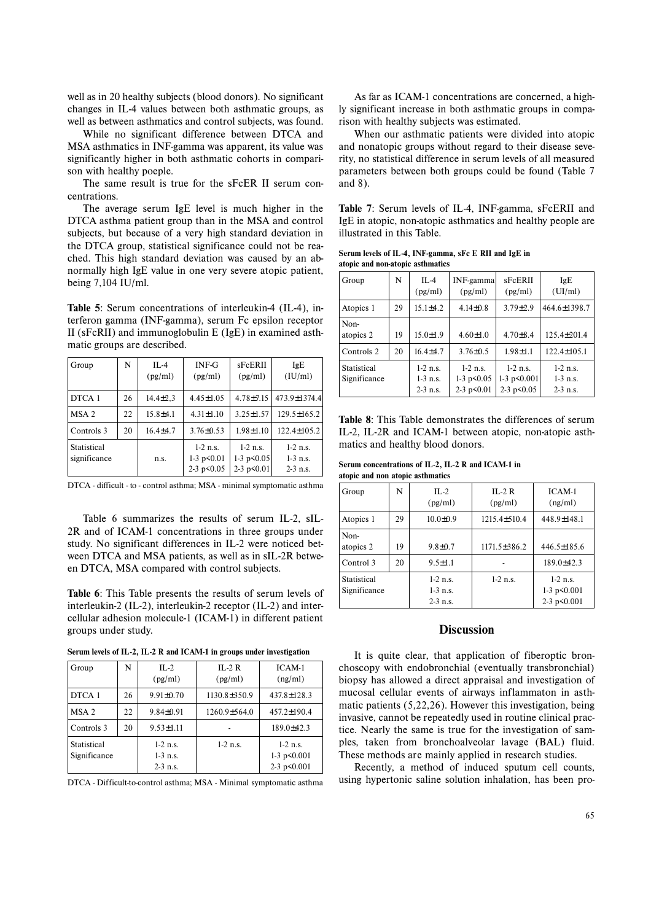well as in 20 healthy subjects (blood donors). No significant changes in IL-4 values between both asthmatic groups, as well as between asthmatics and control subjects, was found.

While no significant difference between DTCA and MSA asthmatics in INF-gamma was apparent, its value was significantly higher in both asthmatic cohorts in comparison with healthy poeple.

The same result is true for the sFcER II serum concentrations.

The average serum IgE level is much higher in the DTCA asthma patient group than in the MSA and control subjects, but because of a very high standard deviation in the DTCA group, statistical significance could not be reached. This high standard deviation was caused by an abnormally high IgE value in one very severe atopic patient, being 7,104 IU/ml.

**Table 5**: Serum concentrations of interleukin-4 (IL-4), interferon gamma (INF-gamma), serum Fc epsilon receptor II (sFcRII) and immunoglobulin E (IgE) in examined asthmatic groups are described.

| Group                       | N  | $IL-4$<br>(pg/ml) | $INF-G$<br>(pg/ml)                                    | sFcERII<br>(pg/ml)                                    | IgE<br>(IU/ml)                         |
|-----------------------------|----|-------------------|-------------------------------------------------------|-------------------------------------------------------|----------------------------------------|
| DTCA 1                      | 26 | $14.4 \pm 2.3$    | $4.45 \pm 1.05$                                       | $4.78 + 7.15$                                         | 473.9±1374.4                           |
| MSA 2                       | 22 | $15.8 + 4.1$      | $4.31 \pm 1.10$                                       | $3.25 \pm 1.57$                                       | $129.5 \pm 165.2$                      |
| Controls 3                  | 20 | $16.4 + 4.7$      | $3.76 \pm 0.53$                                       | $1.98 \pm 1.10$                                       | $122.4 \pm 105.2$                      |
| Statistical<br>significance |    | n.s.              | $1-2$ n.s.<br>$1-3$ p $\leq 0.01$<br>$2-3 p \le 0.05$ | $1-2$ n.s.<br>$1-3$ p $\leq 0.05$<br>$2-3 p \le 0.01$ | $1-2$ n.s.<br>$1-3$ n.s.<br>$2-3$ n.s. |

DTCA - difficult - to - control asthma; MSA - minimal symptomatic asthma

Table 6 summarizes the results of serum IL-2, sIL-2R and of ICAM-1 concentrations in three groups under study. No significant differences in IL-2 were noticed between DTCA and MSA patients, as well as in sIL-2R between DTCA, MSA compared with control subjects.

**Table 6**: This Table presents the results of serum levels of interleukin-2 (IL-2), interleukin-2 receptor (IL-2) and intercellular adhesion molecule-1 (ICAM-1) in different patient groups under study.

**Serum levels of IL-2, IL-2 R and ICAM-1 in groups under investigation**

| Group                       | N  | $IL-2$<br>(pg/ml)                      | $IL-2R$<br>(pg/ml) | ICAM-1<br>(ng/ml)                                          |
|-----------------------------|----|----------------------------------------|--------------------|------------------------------------------------------------|
| DTCA 1                      | 26 | $9.91 \pm 0.70$                        | $1130.8 \pm 350.9$ | $437.8 \pm 128.3$                                          |
| MSA <sub>2</sub>            | 22 | $9.84 \pm 0.91$                        | $1260.9 \pm 564.0$ | $457.2 \pm 190.4$                                          |
| Controls 3                  | 20 | $9.53 \pm 1.11$                        |                    | $189.0 \pm 42.3$                                           |
| Statistical<br>Significance |    | $1-2$ n.s.<br>$1-3$ n.s.<br>$2-3$ n.s. | $1-2$ n.s.         | $1-2$ n.s.<br>$1-3$ p $\leq 0.001$<br>$2-3$ p $\leq 0.001$ |

DTCA - Difficult-to-control asthma; MSA - Minimal symptomatic asthma

As far as ICAM-1 concentrations are concerned, a highly significant increase in both asthmatic groups in comparison with healthy subjects was estimated.

When our asthmatic patients were divided into atopic and nonatopic groups without regard to their disease severity, no statistical difference in serum levels of all measured parameters between both groups could be found (Table 7 and 8).

**Table 7**: Serum levels of IL-4, INF-gamma, sFcERII and IgE in atopic, non-atopic asthmatics and healthy people are illustrated in this Table.

| Serum levels of IL-4, INF gamma, sFc E RII and IgE in |  |  |  |
|-------------------------------------------------------|--|--|--|
| atopic and non-atopic asthmatics                      |  |  |  |

| Group                       | N  | $IL-4$<br>(pg/ml)                      | INF-gamma<br>(pg/ml)                                     | sFcERII<br>(pg/ml)                              | IgE<br>(UI/ml)                         |
|-----------------------------|----|----------------------------------------|----------------------------------------------------------|-------------------------------------------------|----------------------------------------|
| Atopics 1                   | 29 | $15.1 \pm 4.2$                         | $4.14\pm0.8$                                             | $3.79 \pm 2.9$                                  | 464.6±1398.7                           |
| Non-<br>atopics 2           | 19 | $15.0 \pm 1.9$                         | $4.60 \pm 1.0$                                           | $4.70 \pm 8.4$                                  | $125.4 \pm 201.4$                      |
| Controls 2                  | 20 | $16.4 + 4.7$                           | $3.76 \pm 0.5$                                           | $1.98 \pm 1.1$                                  | $122.4 \pm 105.1$                      |
| Statistical<br>Significance |    | $1-2$ n.s.<br>$1-3$ n.s.<br>$2-3$ n.s. | $1-2$ n.s.<br>$1-3$ p $\leq 0.05$<br>$2-3$ p $\leq 0.01$ | $1-2$ n.s.<br>1-3 $p<0.001$<br>$2-3 p \le 0.05$ | $1-2$ n.s.<br>$1-3$ n.s.<br>$2-3$ n.s. |

**Table 8**: This Table demonstrates the differences of serum IL-2, IL-2R and ICAM-1 between atopic, non-atopic asthmatics and healthy blood donors.

**Serum concentrations of IL-2, IL-2 R and ICAM-1 in atopic and non atopic asthmatics**

| Group                       | N  | $IL-2$<br>(pg/ml)                      | $IL-2R$<br>(pg/ml) | $ICAM-1$<br>(ng/ml)                                        |
|-----------------------------|----|----------------------------------------|--------------------|------------------------------------------------------------|
| Atopics 1                   | 29 | $10.0 \pm 0.9$                         | $1215.4 \pm 510.4$ | 448.9±148.1                                                |
| Non-<br>atopics 2           | 19 | $9.8 \pm 0.7$                          | 1171.5±386.2       | $446.5 \pm 185.6$                                          |
| Control 3                   | 20 | $9.5 \pm 1.1$                          |                    | 189.0±42.3                                                 |
| Statistical<br>Significance |    | $1-2$ n.s.<br>$1-3$ n.s.<br>$2-3$ n.s. | $1-2$ n.s.         | $1-2$ n.s.<br>$1-3$ p $\leq 0.001$<br>$2-3$ p $\leq 0.001$ |

# **Discussion**

It is quite clear, that application of fiberoptic bronchoscopy with endobronchial (eventually transbronchial) biopsy has allowed a direct appraisal and investigation of mucosal cellular events of airways inflammaton in asthmatic patients (5,22,26). However this investigation, being invasive, cannot be repeatedly used in routine clinical practice. Nearly the same is true for the investigation of samples, taken from bronchoalveolar lavage (BAL) fluid. These methods are mainly applied in research studies.

Recently, a method of induced sputum cell counts, using hypertonic saline solution inhalation, has been pro-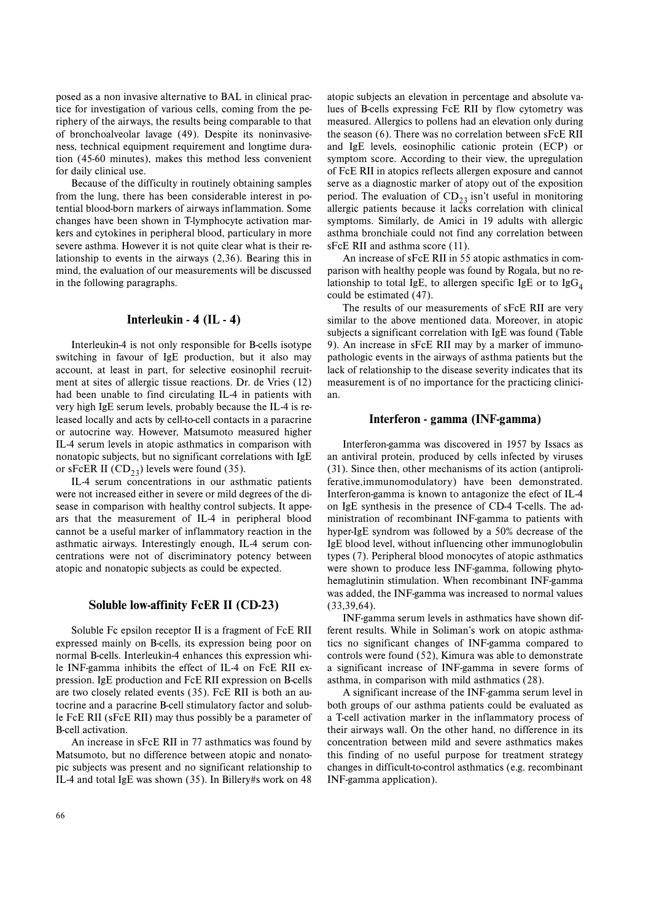posed as a non invasive alternative to BAL in clinical practice for investigation of various cells, coming from the periphery of the airways, the results being comparable to that of bronchoalveolar lavage (49). Despite its noninvasiveness, technical equipment requirement and longtime duration (45-60 minutes), makes this method less convenient for daily clinical use.

Because of the difficulty in routinely obtaining samples from the lung, there has been considerable interest in potential blood-born markers of airways inflammation. Some changes have been shown in T-lymphocyte activation markers and cytokines in peripheral blood, particulary in more severe asthma. However it is not quite clear what is their relationship to events in the airways (2,36). Bearing this in mind, the evaluation of our measurements will be discussed in the following paragraphs.

# **Interleukin - 4 (IL - 4)**

Interleukin-4 is not only responsible for B-cells isotype switching in favour of IgE production, but it also may account, at least in part, for selective eosinophil recruitment at sites of allergic tissue reactions. Dr. de Vries (12) had been unable to find circulating IL-4 in patients with very high IgE serum levels, probably because the IL-4 is released locally and acts by cell-to-cell contacts in a paracrine or autocrine way. However, Matsumoto measured higher IL-4 serum levels in atopic asthmatics in comparison with nonatopic subjects, but no significant correlations with IgE or sFcER II  $(CD_{23})$  levels were found (35).

IL-4 serum concentrations in our asthmatic patients were not increased either in severe or mild degrees of the disease in comparison with healthy control subjects. It appears that the measurement of IL-4 in peripheral blood cannot be a useful marker of inflammatory reaction in the asthmatic airways. Interestingly enough, IL-4 serum concentrations were not of discriminatory potency between atopic and nonatopic subjects as could be expected.

# **Soluble low-affinity FcER II (CD-23)**

Soluble Fc epsilon receptor II is a fragment of FcE RII expressed mainly on B-cells, its expression being poor on normal B-cells. Interleukin-4 enhances this expression while INF-gamma inhibits the effect of IL-4 on FcE RII expression. IgE production and FcE RII expression on B-cells are two closely related events (35). FcE RII is both an autocrine and a paracrine B-cell stimulatory factor and soluble FcE RII (sFcE RII) may thus possibly be a parameter of B-cell activation.

An increase in sFcE RII in 77 asthmatics was found by Matsumoto, but no difference between atopic and nonatopic subjects was present and no significant relationship to IL-4 and total IgE was shown (35). In Billery#s work on 48

atopic subjects an elevation in percentage and absolute values of B-cells expressing FcE RII by flow cytometry was measured. Allergics to pollens had an elevation only during the season (6). There was no correlation between sFcE RII and IgE levels, eosinophilic cationic protein (ECP) or symptom score. According to their view, the upregulation of FcE RII in atopics reflects allergen exposure and cannot serve as a diagnostic marker of atopy out of the exposition period. The evaluation of  $CD_{23}$  isn't useful in monitoring allergic patients because it lacks correlation with clinical symptoms. Similarly, de Amici in 19 adults with allergic asthma bronchiale could not find any correlation between sFcE RII and asthma score (11).

An increase of sFcE RII in 55 atopic asthmatics in comparison with healthy people was found by Rogala, but no relationship to total IgE, to allergen specific IgE or to  $\lg G_4$ could be estimated (47).

The results of our measurements of sFcE RII are very similar to the above mentioned data. Moreover, in atopic subjects a significant correlation with IgE was found (Table 9). An increase in sFcE RII may by a marker of immunopathologic events in the airways of asthma patients but the lack of relationship to the disease severity indicates that its measurement is of no importance for the practicing clinician.

### **Interferon - gamma (INF-gamma)**

Interferon-gamma was discovered in 1957 by Issacs as an antiviral protein, produced by cells infected by viruses (31). Since then, other mechanisms of its action (antiproliferative,immunomodulatory) have been demonstrated. Interferon-gamma is known to antagonize the efect of IL-4 on IgE synthesis in the presence of CD-4 T-cells. The administration of recombinant INF-gamma to patients with hyper-IgE syndrom was followed by a 50% decrease of the IgE blood level, without influencing other immunoglobulin types (7). Peripheral blood monocytes of atopic asthmatics were shown to produce less INF-gamma, following phytohemaglutinin stimulation. When recombinant INF-gamma was added, the INF-gamma was increased to normal values (33,39,64).

INF-gamma serum levels in asthmatics have shown different results. While in Soliman's work on atopic asthmatics no significant changes of INF-gamma compared to controls were found (52), Kimura was able to demonstrate <sup>a</sup> significant increase of INF-gamma in severe forms of asthma, in comparison with mild asthmatics (28).

A significant increase of the INF-gamma serum level in both groups of our asthma patients could be evaluated as <sup>a</sup> T-cell activation marker in the inflammatory process of their airways wall. On the other hand, no difference in its concentration between mild and severe asthmatics makes this finding of no useful purpose for treatment strategy changes in difficult-to-control asthmatics (e.g. recombinant INF-gamma application).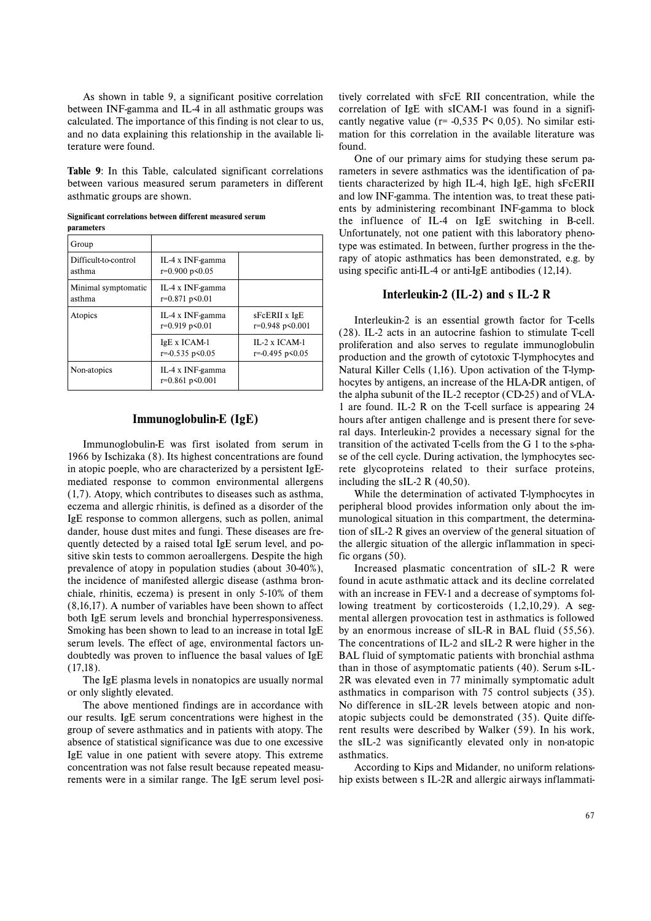As shown in table 9, a significant positive correlation between INF-gamma and IL-4 in all asthmatic groups was calculated. The importance of this finding is not clear to us, and no data explaining this relationship in the available literature were found.

**Table 9**: In this Table, calculated significant correlations between various measured serum parameters in different asthmatic groups are shown.

| pai ameter                     |                                            |                                                  |
|--------------------------------|--------------------------------------------|--------------------------------------------------|
| Group                          |                                            |                                                  |
| Difficult-to-control<br>asthma | IL-4 x INF-gamma<br>$r=0.900 p\leq 0.05$   |                                                  |
| Minimal symptomatic<br>asthma  | IL-4 x INF-gamma<br>$r=0.871 p\leq 0.01$   |                                                  |
| Atopics                        | IL-4 x INF-gamma<br>$r=0.919 p<0.01$       | sFcERII x IgE<br>r=0.948 p<0.001                 |
|                                | $IgE X ICAM-1$<br>$r = 0.535$ $p \le 0.05$ | $IL-2 \times ICAM-1$<br>$r = 0.495$ $p \le 0.05$ |
| Non-atopics                    | IL-4 x INF-gamma<br>$r=0.861 p\leq 0.001$  |                                                  |

# **Immunoglobulin-E (IgE)**

Immunoglobulin-E was first isolated from serum in 1966 by Ischizaka (8). Its highest concentrations are found in atopic poeple, who are characterized by a persistent IgEmediated response to common environmental allergens (1,7). Atopy, which contributes to diseases such as asthma, eczema and allergic rhinitis, is defined as a disorder of the IgE response to common allergens, such as pollen, animal dander, house dust mites and fungi. These diseases are frequently detected by a raised total IgE serum level, and positive skin tests to common aeroallergens. Despite the high prevalence of atopy in population studies (about 30-40%), the incidence of manifested allergic disease (asthma bronchiale, rhinitis, eczema) is present in only 5-10% of them (8,16,17). A number of variables have been shown to affect both IgE serum levels and bronchial hyperresponsiveness. Smoking has been shown to lead to an increase in total IgE serum levels. The effect of age, environmental factors undoubtedly was proven to influence the basal values of IgE (17,18). Starting the since of 11-4 on 142 on 14 on 14 on 14 on 14 on 14 on 14 on 14 on 14 on 14 on 14 on 14 on 14 on 14 on 14 on 14 on 14 on 14 on 14 on 14 on 14 on 14 on 14 on 14 on 14 on 14 on 14 on 14 on 14 on 14 on 14 on 14 o

The IgE plasma levels in nonatopics are usually normal or only slightly elevated.

The above mentioned findings are in accordance with our results. IgE serum concentrations were highest in the group of severe asthmatics and in patients with atopy. The absence of statistical significance was due to one excessive IgE value in one patient with severe atopy. This extreme concentration was not false result because repeated measurements were in a similar range. The IgE serum level positively correlated with sFcE RII concentration, while the correlation of IgE with sICAM-1 was found in a signifi cantly negative value ( $r = -0.535$  P $\leq 0.05$ ). No similar estimation for this correlation in the available literature was found.

One of our primary aims for studying these serum pa rameters in severe asthmatics was the identification of pa tients characterized by high IL-4, high IgE, high sFcERII and low INF-gamma. The intention was, to treat these pati ents by administering recombinant INF-gamma to block the influence of IL-4 on IgE switching in B-cell. Unfortunately, not one patient with this laboratory pheno type was estimated. In between, further progress in the the rapy of atopic asthmatics has been demonstrated, e.g. by using specific anti-IL-4 or anti-IgE antibodies (12,14).

# **Interleukin-2 (IL-2) and s IL-2 R**

Interleukin-2 is an essential growth factor for T-cells (28). IL-2 acts in an autocrine fashion to stimulate T-cell proliferation and also serves to regulate immunoglobulin production and the growth of cytotoxic T-lymphocytes and Natural Killer Cells (1,16). Upon activation of the T-lymp hocytes by antigens, an increase of the HLA-DR antigen, of the alpha subunit of the IL-2 receptor (CD-25) and of VLA- 1 are found. IL-2 R on the T-cell surface is appearing 24 hours after antigen challenge and is present there for seve ral days. Interleukin-2 provides a necessary signal for the transition of the activated T-cells from the G 1 to the s-pha se of the cell cycle. During activation, the lymphocytes sec rete glycoproteins related to their surface proteins, including the sIL-2 R (40,50).

While the determination of activated T-lymphocytes in peripheral blood provides information only about the im munological situation in this compartment, the determina tion of sIL-2 R gives an overview of the general situation of the allergic situation of the allergic inflammation in speci fic organs (50).

Increased plasmatic concentration of sIL-2 R were found in acute asthmatic attack and its decline correlated with an increase in FEV-1 and a decrease of symptoms fol lowing treatment by corticosteroids (1,2,10,29). A seg mental allergen provocation test in asthmatics is followed by an enormous increase of sIL-R in BAL fluid (55,56). The concentrations of IL-2 and sIL-2 R were higher in the BAL fluid of symptomatic patients with bronchial asthma than in those of asymptomatic patients (40). Serum s-IL- 2R was elevated even in 77 minimally symptomatic adult asthmatics in comparison with 75 control subjects (35). No difference in sIL-2R levels between atopic and non atopic subjects could be demonstrated (35). Quite diffe rent results were described by Walker (59). In his work, the sIL-2 was significantly elevated only in non-atopic asthmatics.

According to Kips and Midander, no uniform relations hip exists between s IL-2R and allergic airways inflammati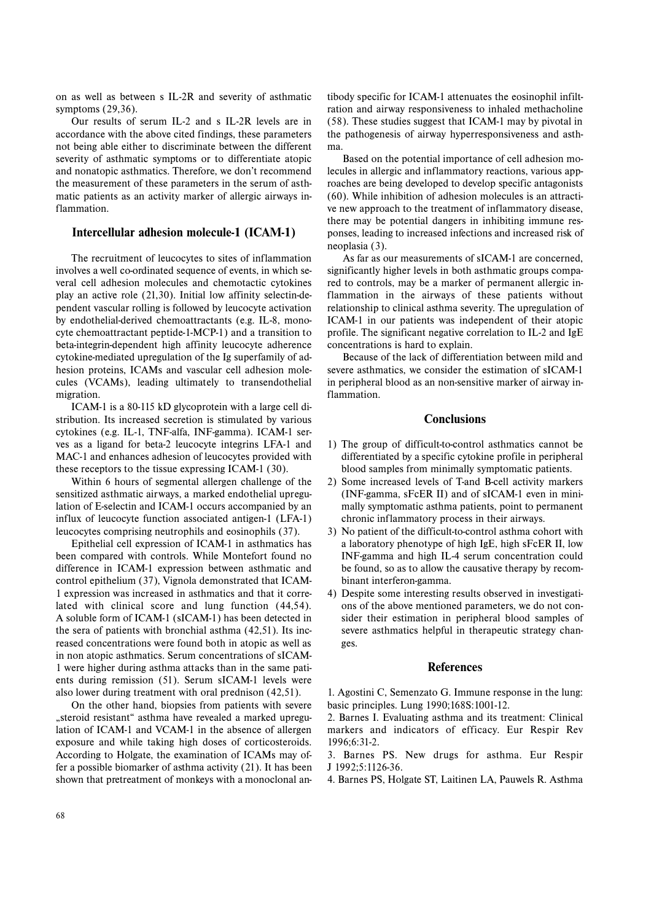on as well as between s IL-2R and severity of asthmatic symptoms (29,36).

Our results of serum IL-2 and s IL-2R levels are in accordance with the above cited findings, these parameters not being able either to discriminate between the different severity of asthmatic symptoms or to differentiate atopic and nonatopic asthmatics. Therefore, we don't recommend the measurement of these parameters in the serum of asthmatic patients as an activity marker of allergic airways inflammation.

# **Intercellular adhesion molecule-1 (ICAM-1)**

The recruitment of leucocytes to sites of inflammation involves a well co-ordinated sequence of events, in which several cell adhesion molecules and chemotactic cytokines play an active role (21,30). Initial low affinity selectin-dependent vascular rolling is followed by leucocyte activation by endothelial-derived chemoattractants (e.g. IL-8, monocyte chemoattractant peptide-1-MCP-1) and a transition to beta-integrin-dependent high affinity leucocyte adherence cytokine-mediated upregulation of the Ig superfamily of adhesion proteins, ICAMs and vascular cell adhesion molecules (VCAMs), leading ultimately to transendothelial migration.

ICAM-1 is a 80-115 kD glycoprotein with a large cell distribution. Its increased secretion is stimulated by various cytokines (e.g. IL-1, TNF-alfa, INF-gamma). ICAM-1 serves as a ligand for beta-2 leucocyte integrins LFA-1 and MAC-1 and enhances adhesion of leucocytes provided with these receptors to the tissue expressing ICAM-1 (30).

Within 6 hours of segmental allergen challenge of the sensitized asthmatic airways, a marked endothelial upregulation of E-selectin and ICAM-1 occurs accompanied by an influx of leucocyte function associated antigen-1 (LFA-1) leucocytes comprising neutrophils and eosinophils (37).

Epithelial cell expression of ICAM-1 in asthmatics has been compared with controls. While Montefort found no difference in ICAM-1 expression between asthmatic and control epithelium (37), Vignola demonstrated that ICAM-1 expression was increased in asthmatics and that it correlated with clinical score and lung function (44,54). A soluble form of ICAM-1 (sICAM-1) has been detected in the sera of patients with bronchial asthma (42,51). Its increased concentrations were found both in atopic as well as in non atopic asthmatics. Serum concentrations of sICAM-1 were higher during asthma attacks than in the same patients during remission (51). Serum sICAM-1 levels were also lower during treatment with oral prednison (42,51).

On the other hand, biopsies from patients with severe "steroid resistant" asthma have revealed a marked upregulation of ICAM-1 and VCAM-1 in the absence of allergen exposure and while taking high doses of corticosteroids. According to Holgate, the examination of ICAMs may offer a possible biomarker of asthma activity (21). It has been shown that pretreatment of monkeys with a monoclonal an-

tibody specific for ICAM-1 attenuates the eosinophil infilt ration and airway responsiveness to inhaled methacholine (58). These studies suggest that ICAM-1 may by pivotal in the pathogenesis of airway hyperresponsiveness and asth ma.<br>Based on the potential importance of cell adhesion mo-

lecules in allergic and inflammatory reactions, various app roaches are being developed to develop specific antagonists (60). While inhibition of adhesion molecules is an attracti ve new approach to the treatment of inflammatory disease, there may be potential dangers in inhibiting immune res ponses, leading to increased infections and increased risk of neoplasia (3).

As far as our measurements of sICAM-1 are concerned, significantly higher levels in both asthmatic groups compa red to controls, may be a marker of permanent allergic in flammation in the airways of these patients without relationship to clinical asthma severity. The upregulation of ICAM-1 in our patients was independent of their atopic profile. The significant negative correlation to IL-2 and IgE concentrations is hard to explain.

Because of the lack of differentiation between mild and severe asthmatics, we consider the estimation of sICAM-1 in peripheral blood as an non-sensitive marker of airway in flammation.

# **Conclusions**

- 1) The group of difficult-to-control asthmatics cannot be differentiated by a specific cytokine profile in peripheral blood samples from minimally symptomatic patients.
- 2) Some increased levels of T-and B-cell activity markers (INF-gamma, sFcER II) and of sICAM-1 even in mini mally symptomatic asthma patients, point to permanent chronic inflammatory process in their airways.
- 3) No patient of the difficult-to-control asthma cohort with <sup>a</sup> laboratory phenotype of high IgE, high sFcER II, low INF-gamma and high IL-4 serum concentration could be found, so as to allow the causative therapy by recom binant interferon-gamma.
- 4) Despite some interesting results observed in investigati ons of the above mentioned parameters, we do not con sider their estimation in peripheral blood samples of severe asthmatics helpful in therapeutic strategy chan ges.

# **References**

1. Agostini C, Semenzato G. Immune response in the lung: basic principles. Lung 1990;168S:1001-12.

2. Barnes I. Evaluating asthma and its treatment: Clinical markers and indicators of efficacy. Eur Respir Rev 1996;6:31-2.

3. Barnes PS. New drugs for asthma. Eur Respir J 1992;5:1126-36.

4. Barnes PS, Holgate ST, Laitinen LA, Pauwels R. Asthma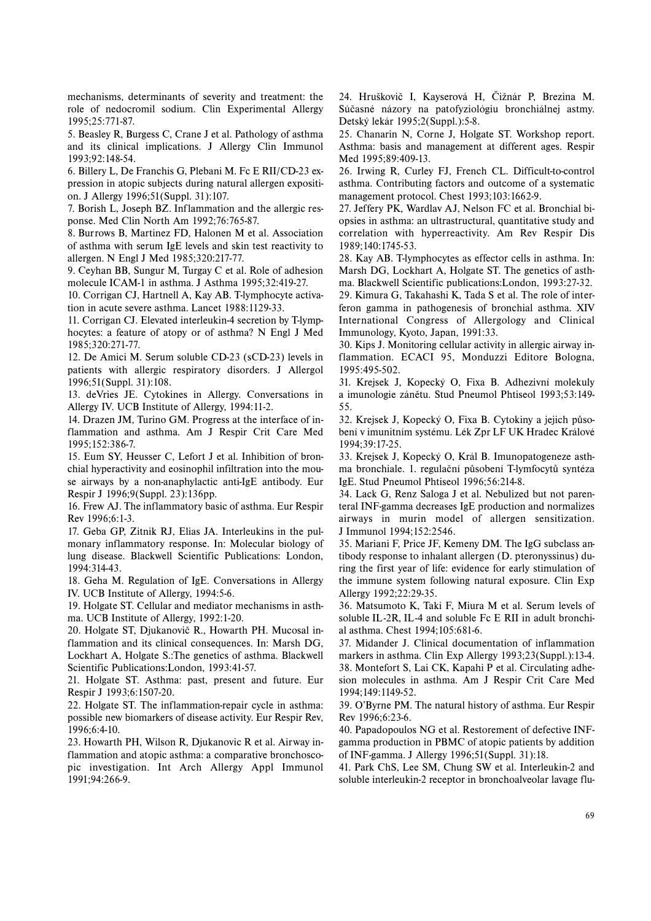mechanisms, determinants of severity and treatment: the role of nedocromil sodium. Clin Experimental Allergy 1995;25:771-87.

5. Beasley R, Burgess C, Crane J et al. Pathology of asthma and its clinical implications. J Allergy Clin Immunol 1993;92:148-54.

6. Billery L, De Franchis G, Plebani M. Fc E RII/CD-23 expression in atopic subjects during natural allergen exposition. J Allergy 1996;51(Suppl. 31):107.

7. Borish L, Joseph BZ. Inflammation and the allergic response. Med Clin North Am 1992;76:765-87.

8. Burrows B, Martinez FD, Halonen M et al. Association of asthma with serum IgE levels and skin test reactivity to allergen. N Engl J Med 1985;320:217-77.

9. Ceyhan BB, Sungur M, Turgay C et al. Role of adhesion molecule ICAM-1 in asthma. J Asthma 1995;32:419-27.

10. Corrigan CJ, Hartnell A, Kay AB. T-lymphocyte activation in acute severe asthma. Lancet 1988:1129-33.

11. Corrigan CJ. Elevated interleukin-4 secretion by T-lymphocytes: a feature of atopy or of asthma? N Engl J Med 1985;320:271-77.

12. De Amici M. Serum soluble CD-23 (sCD-23) levels in patients with allergic respiratory disorders. J Allergol 1996;51(Suppl. 31):108.

13. deVries JE. Cytokines in Allergy. Conversations in Allergy IV. UCB Institute of Allergy, 1994:11-2.

14. Drazen JM, Turino GM. Progress at the interface of inflammation and asthma. Am J Respir Crit Care Med 1995;152:386-7.

15. Eum SY, Heusser C, Lefort J et al. Inhibition of bronchial hyperactivity and eosinophil infiltration into the mouse airways by a non-anaphylactic anti-IgE antibody. Eur Respir J 1996;9(Suppl. 23):136pp.

16. Frew AJ. The inflammatory basic of asthma. Eur Respir Rev 1996;6:1-3.

17. Geba GP, Zitnik RJ, Elias JA. Interleukins in the pulmonary inflammatory response. In: Molecular biology of lung disease. Blackwell Scientific Publications: London, 1994:314-43.

18. Geha M. Regulation of IgE. Conversations in Allergy IV. UCB Institute of Allergy, 1994:5-6.

19. Holgate ST. Cellular and mediator mechanisms in asthma. UCB Institute of Allergy, 1992:1-20.

20. Holgate ST, Djukanovič R., Howarth PH. Mucosal inflammation and its clinical consequences. In: Marsh DG, Lockhart A, Holgate S.:The genetics of asthma. Blackwell Scientific Publications:London, 1993:41-57.

21. Holgate ST. Asthma: past, present and future. Eur Respir J 1993;6:1507-20.

22. Holgate ST. The inflammation-repair cycle in asthma: possible new biomarkers of disease activity. Eur Respir Rev, 1996;6:4-10.

23. Howarth PH, Wilson R, Djukanovic R et al. Airway inflammation and atopic asthma: a comparative bronchoscopic investigation. Int Arch Allergy Appl Immunol 1991;94:266-9.

24. Hruškovič I, Kayserová H, Čižnár P, Brezina M. Súčasné názory na patofyziológiu bronchiálnej astmy. Detský lekár 1995;2(Suppl.):5-8.

25. Chanarin N, Corne J, Holgate ST. Workshop report. Asthma: basis and management at different ages. Respir Med 1995;89:409-13.

26. Irwing R, Curley FJ, French CL. Difficult-to-control asthma. Contributing factors and outcome of a systematic management protocol. Chest 1993;103:1662-9.

27. Jeffery PK, Wardlav AJ, Nelson FC et al. Bronchial biopsies in asthma: an ultrastructural, quantitative study and correlation with hyperreactivity. Am Rev Respir Dis 1989;140:1745-53.

28. Kay AB. T-lymphocytes as effector cells in asthma. In: Marsh DG, Lockhart A, Holgate ST. The genetics of asthma. Blackwell Scientific publications:London, 1993:27-32.

29. Kimura G, Takahashi K, Tada S et al. The role of interferon gamma in pathogenesis of bronchial asthma. XIV International Congress of Allergology and Clinical Immunology, Kyoto, Japan, 1991:33.

30. Kips J. Monitoring cellular activity in allergic airway inflammation. ECACI 95, Monduzzi Editore Bologna, 1995:495-502.

31. Krejsek J, Kopecký O, Fixa B. Adhezivní molekuly <sup>a</sup> imunologie zánětu. Stud Pneumol Phtiseol 1993;53:149- 55.

32. Krejsek J, Kopecký O, Fixa B. Cytokiny a jejich působení v imunitním systému. Lék Zpr LF UK Hradec Králové 1994;39:17-25.

33. Krejsek J, Kopecký O, Král B. Imunopatogeneze asthma bronchiale. 1. regulační působení T-lymfocytů syntéza IgE. Stud Pneumol Phtiseol 1996;56:214-8.

34. Lack G, Renz Saloga J et al. Nebulized but not parenteral INF-gamma decreases IgE production and normalizes airways in murin model of allergen sensitization. J Immunol 1994;152:2546.

35. Mariani F, Price JF, Kemeny DM. The IgG subclass antibody response to inhalant allergen (D. pteronyssinus) during the first year of life: evidence for early stimulation of the immune system following natural exposure. Clin Exp Allergy 1992;22:29-35.

36. Matsumoto K, Taki F, Miura M et al. Serum levels of soluble IL-2R, IL-4 and soluble Fc E RII in adult bronchial asthma. Chest 1994;105:681-6.

37. Midander J. Clinical documentation of inflammation markers in asthma. Clin Exp Allergy 1993;23(Suppl.):13-4. 38. Montefort S, Lai CK, Kapahi P et al. Circulating adhesion molecules in asthma. Am J Respir Crit Care Med 1994;149:1149-52.

39. O'Byrne PM. The natural history of asthma. Eur Respir Rev 1996;6:23-6.

40. Papadopoulos NG et al. Restorement of defective INFgamma production in PBMC of atopic patients by addition of INF-gamma. J Allergy 1996;51(Suppl. 31):18.

41. Park ChS, Lee SM, Chung SW et al. Interleukin-2 and soluble interleukin-2 receptor in bronchoalveolar lavage flu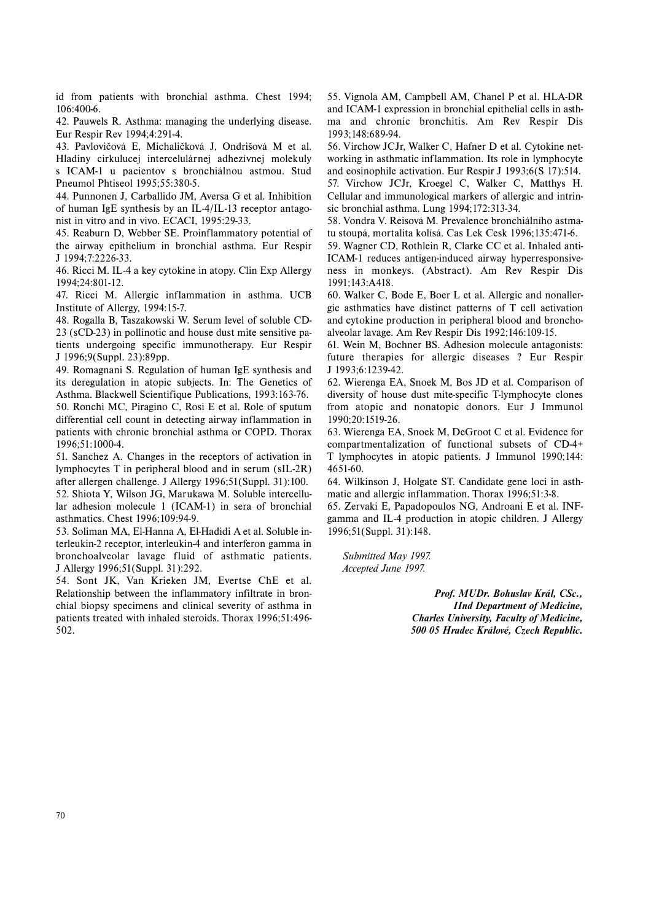id from patients with bronchial asthma. Chest 1994; 106:400-6.

42. Pauwels R. Asthma: managing the underlying disease. Eur Respir Rev 1994;4:291-4.

43. Pavlovičová E, Michaličková J, Ondrišová M et al. Hladiny cirkulucej intercelulárnej adhezívnej molekuly <sup>s</sup> ICAM-1 u pacientov s bronchiálnou astmou. Stud Pneumol Phtiseol 1995;55:380-5.

44. Punnonen J, Carballido JM, Aversa G et al. Inhibition of human IgE synthesis by an IL-4/IL-13 receptor antagonist in vitro and in vivo. ECACI, 1995:29-33.

45. Reaburn D, Webber SE. Proinflammatory potential of the airway epithelium in bronchial asthma. Eur Respir J 1994;7:2226-33.

46. Ricci M. IL-4 a key cytokine in atopy. Clin Exp Allergy 1994;24:801-12.

47. Ricci M. Allergic inflammation in asthma. UCB Institute of Allergy, 1994:15-7.

48. Rogalla B, Taszakowski W. Serum level of soluble CD-23 (sCD-23) in pollinotic and house dust mite sensitive patients undergoing specific immunotherapy. Eur Respir J 1996;9(Suppl. 23):89pp.

49. Romagnani S. Regulation of human IgE synthesis and its deregulation in atopic subjects. In: The Genetics of Asthma. Blackwell Scientifique Publications, 1993:163-76.

50. Ronchi MC, Piragino C, Rosi E et al. Role of sputum differential cell count in detecting airway inflammation in patients with chronic bronchial asthma or COPD. Thorax 1996;51:1000-4.

51. Sanchez A. Changes in the receptors of activation in lymphocytes T in peripheral blood and in serum (sIL-2R) after allergen challenge. J Allergy 1996;51(Suppl. 31):100.

52. Shiota Y, Wilson JG, Marukawa M. Soluble intercellular adhesion molecule 1 (ICAM-1) in sera of bronchial asthmatics. Chest 1996;109:94-9.

53. Soliman MA, El-Hanna A, El-Hadidi A et al. Soluble interleukin-2 receptor, interleukin-4 and interferon gamma in bronchoalveolar lavage fluid of asthmatic patients. J Allergy 1996;51(Suppl. 31):292.

54. Sont JK, Van Krieken JM, Evertse ChE et al. Relationship between the inflammatory infiltrate in bronchial biopsy specimens and clinical severity of asthma in patients treated with inhaled steroids. Thorax 1996;51:496- 502.

55. Vignola AM, Campbell AM, Chanel P et al. HLA-DR and ICAM-1 expression in bronchial epithelial cells in asthma and chronic bronchitis. Am Rev Respir Dis 1993;148:689-94.

56. Virchow JCJr, Walker C, Hafner D et al. Cytokine networking in asthmatic inflammation. Its role in lymphocyte and eosinophile activation. Eur Respir J 1993;6(S 17):514. 57. Virchow JCJr, Kroegel C, Walker C, Matthys H. Cellular and immunological markers of allergic and intrin-

sic bronchial asthma. Lung 1994;172:313-34. 58. Vondra V. Reisová M. Prevalence bronchiálního astma-

tu stoupá, mortalita kolísá. Cas Lek Cesk 1996;135:471-6.

59. Wagner CD, Rothlein R, Clarke CC et al. Inhaled anti-ICAM-1 reduces antigen-induced airway hyperresponsiveness in monkeys. (Abstract). Am Rev Respir Dis 1991;143:A418.

60. Walker C, Bode E, Boer L et al. Allergic and nonallergic asthmatics have distinct patterns of T cell activation and cytokine production in peripheral blood and bronchoalveolar lavage. Am Rev Respir Dis 1992;146:109-15.

61. Wein M, Bochner BS. Adhesion molecule antagonists: future therapies for allergic diseases ? Eur Respir J 1993;6:1239-42.

62. Wierenga EA, Snoek M, Bos JD et al. Comparison of diversity of house dust mite-specific T-lymphocyte clones from atopic and nonatopic donors. Eur J Immunol 1990;20:1519-26.

63. Wierenga EA, Snoek M, DeGroot C et al. Evidence for compartmentalization of functional subsets of CD-4+ T lymphocytes in atopic patients. J Immunol 1990;144: 4651-60.

64. Wilkinson J, Holgate ST. Candidate gene loci in asthmatic and allergic inflammation. Thorax 1996;51:3-8.

65. Zervaki E, Papadopoulos NG, Androani E et al. INFgamma and IL-4 production in atopic children. J Allergy 1996;51(Suppl. 31):148.

*Submitted May 1997. Accepted June 1997.*

> *Prof. MUDr. Bohuslav Král, CSc., IInd Department of Medicine, Charles University, Faculty of Medicine, 500 05 Hradec Králové, Czech Republic.*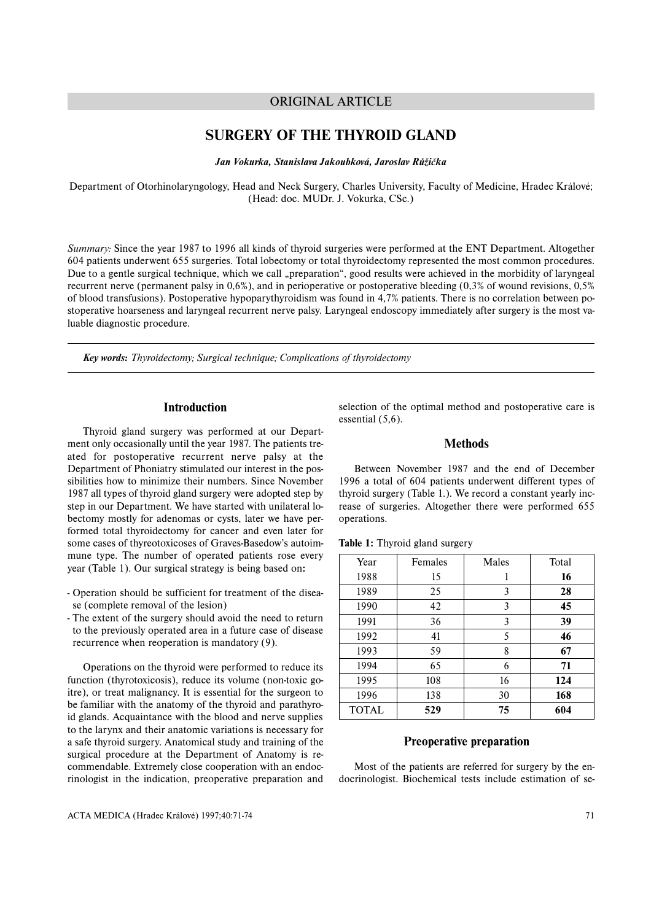# ORIGINAL ARTICLE

# **SURGERY OF THE THYROID GLAND**

*Jan Vokurka, Stanislava Jakoubková, Jaroslav Růžička*

Department of Otorhinolaryngology, Head and Neck Surgery, Charles University, Faculty of Medicine, Hradec Králové; (Head: doc. MUDr. J. Vokurka, CSc.)

*Summary:* Since the year 1987 to 1996 all kinds of thyroid surgeries were performed at the ENT Department. Altogether 604 patients underwent 655 surgeries. Total lobectomy or total thyroidectomy represented the most common procedures. Due to a gentle surgical technique, which we call "preparation", good results were achieved in the morbidity of laryngeal recurrent nerve (permanent palsy in 0,6%), and in perioperative or postoperative bleeding (0,3% of wound revisions, 0,5% of blood transfusions). Postoperative hypoparythyroidism was found in 4,7% patients. There is no correlation between postoperative hoarseness and laryngeal recurrent nerve palsy. Laryngeal endoscopy immediately after surgery is the most valuable diagnostic procedure.

*Key words: Thyroidectomy; Surgical technique; Complications of thyroidectomy*

# **Introduction**

Thyroid gland surgery was performed at our Department only occasionally until the year 1987. The patients treated for postoperative recurrent nerve palsy at the Department of Phoniatry stimulated our interest in the possibilities how to minimize their numbers. Since November 1987 all types of thyroid gland surgery were adopted step by step in our Department. We have started with unilateral lobectomy mostly for adenomas or cysts, later we have performed total thyroidectomy for cancer and even later for some cases of thyreotoxicoses of Graves-Basedow's autoimmune type. The number of operated patients rose every year (Table 1). Our surgical strategy is being based on**:**

- Operation should be sufficient for treatment of the disease (complete removal of the lesion)
- The extent of the surgery should avoid the need to return to the previously operated area in a future case of disease recurrence when reoperation is mandatory (9).

Operations on the thyroid were performed to reduce its function (thyrotoxicosis), reduce its volume (non-toxic goitre), or treat malignancy. It is essential for the surgeon to be familiar with the anatomy of the thyroid and parathyroid glands. Acquaintance with the blood and nerve supplies to the larynx and their anatomic variations is necessary for <sup>a</sup> safe thyroid surgery. Anatomical study and training of the surgical procedure at the Department of Anatomy is recommendable. Extremely close cooperation with an endocrinologist in the indication, preoperative preparation and

selection of the optimal method and postoperative care is essential (5,6).

# **Methods**

Between November 1987 and the end of December 1996 a total of 604 patients underwent different types of thyroid surgery (Table 1.). We record a constant yearly increase of surgeries. Altogether there were performed 655 operations.

| Year         | Females | Males | Total |
|--------------|---------|-------|-------|
| 1988         | 15      |       | 16    |
| 1989         | 25      | 3     | 28    |
| 1990         | 42      | 3     | 45    |
| 1991         | 36      | 3     | 39    |
| 1992         | 41      | 5     | 46    |
| 1993         | 59      | 8     | 67    |
| 1994         | 65      | 6     | 71    |
| 1995         | 108     | 16    | 124   |
| 1996         | 138     | 30    | 168   |
| <b>TOTAL</b> | 529     | 75    | 604   |

# **Table 1:** Thyroid gland surgery

# **Preoperative preparation**

Most of the patients are referred for surgery by the endocrinologist. Biochemical tests include estimation of se-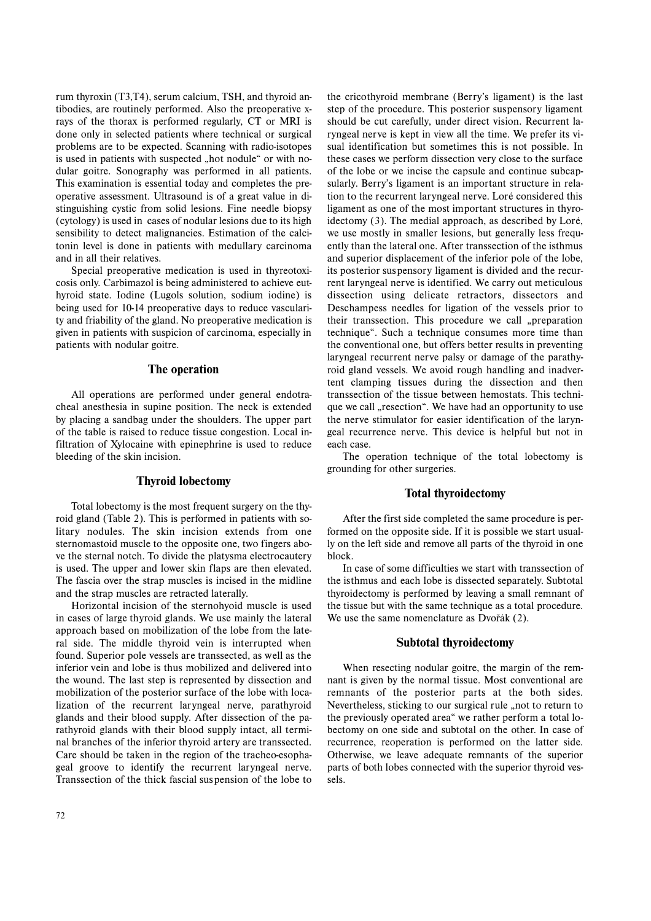rum thyroxin (T3,T4), serum calcium, TSH, and thyroid antibodies, are routinely performed. Also the preoperative xrays of the thorax is performed regularly, CT or MRI is done only in selected patients where technical or surgical problems are to be expected. Scanning with radio-isotopes is used in patients with suspected "hot nodule" or with nodular goitre. Sonography was performed in all patients. This examination is essential today and completes the preoperative assessment. Ultrasound is of a great value in distinguishing cystic from solid lesions. Fine needle biopsy (cytology) is used in cases of nodular lesions due to its high sensibility to detect malignancies. Estimation of the calcitonin level is done in patients with medullary carcinoma and in all their relatives.

Special preoperative medication is used in thyreotoxicosis only. Carbimazol is being administered to achieve euthyroid state. Iodine (Lugols solution, sodium iodine) is being used for 10-14 preoperative days to reduce vascularity and friability of the gland. No preoperative medication is given in patients with suspicion of carcinoma, especially in patients with nodular goitre.

# **The operation**

All operations are performed under general endotracheal anesthesia in supine position. The neck is extended by placing a sandbag under the shoulders. The upper part of the table is raised to reduce tissue congestion. Local infiltration of Xylocaine with epinephrine is used to reduce bleeding of the skin incision.

## **Thyroid lobectomy**

Total lobectomy is the most frequent surgery on the thyroid gland (Table 2). This is performed in patients with solitary nodules. The skin incision extends from one sternomastoid muscle to the opposite one, two fingers above the sternal notch. To divide the platysma electrocautery is used. The upper and lower skin flaps are then elevated. The fascia over the strap muscles is incised in the midline and the strap muscles are retracted laterally.

Horizontal incision of the sternohyoid muscle is used in cases of large thyroid glands. We use mainly the lateral approach based on mobilization of the lobe from the lateral side. The middle thyroid vein is interrupted when found. Superior pole vessels are transsected, as well as the inferior vein and lobe is thus mobilized and delivered into the wound. The last step is represented by dissection and mobilization of the posterior surface of the lobe with localization of the recurrent laryngeal nerve, parathyroid glands and their blood supply. After dissection of the parathyroid glands with their blood supply intact, all terminal branches of the inferior thyroid artery are transsected. Care should be taken in the region of the tracheo-esophageal groove to identify the recurrent laryngeal nerve. Transsection of the thick fascial suspension of the lobe to should be cut carefully, under direct vision. Recurrent laryngeal nerve is kept in view all the time. We prefer its visual identification but sometimes this is not possible. In these cases we perform dissection very close to the surface of the lobe or we incise the capsule and continue subcapsularly. Berry's ligament is an important structure in relation to the recurrent laryngeal nerve. Loré considered this ligament as one of the most important structures in thyroidectomy (3). The medial approach, as described by Loré, we use mostly in smaller lesions, but generally less frequently than the lateral one. After transsection of the isthmus and superior displacement of the inferior pole of the lobe, its posterior suspensory ligament is divided and the recurrent laryngeal nerve is identified. We carry out meticulous dissection using delicate retractors, dissectors and Deschampess needles for ligation of the vessels prior to their transsection. This procedure we call "preparation technique". Such a technique consumes more time than the conventional one, but offers better results in preventing laryngeal recurrent nerve palsy or damage of the parathyroid gland vessels. We avoid rough handling and inadvertent clamping tissues during the dissection and then transsection of the tissue between hemostats. This technique we call "resection". We have had an opportunity to use the nerve stimulator for easier identification of the laryngeal recurrence nerve. This device is helpful but not in each case.

the cricothyroid membrane (Berry's ligament) is the last step of the procedure. This posterior suspensory ligament

The operation technique of the total lobectomy is grounding for other surgeries.

#### **Total thyroidectomy**

After the first side completed the same procedure is performed on the opposite side. If it is possible we start usually on the left side and remove all parts of the thyroid in one block.

In case of some difficulties we start with transsection of the isthmus and each lobe is dissected separately. Subtotal thyroidectomy is performed by leaving a small remnant of the tissue but with the same technique as a total procedure. We use the same nomenclature as Dvořák (2).

# **Subtotal thyroidectomy**

When resecting nodular goitre, the margin of the remnant is given by the normal tissue. Most conventional are remnants of the posterior parts at the both sides. Nevertheless, sticking to our surgical rule "not to return to the previously operated area" we rather perform a total lobectomy on one side and subtotal on the other. In case of recurrence, reoperation is performed on the latter side. Otherwise, we leave adequate remnants of the superior parts of both lobes connected with the superior thyroid vessels.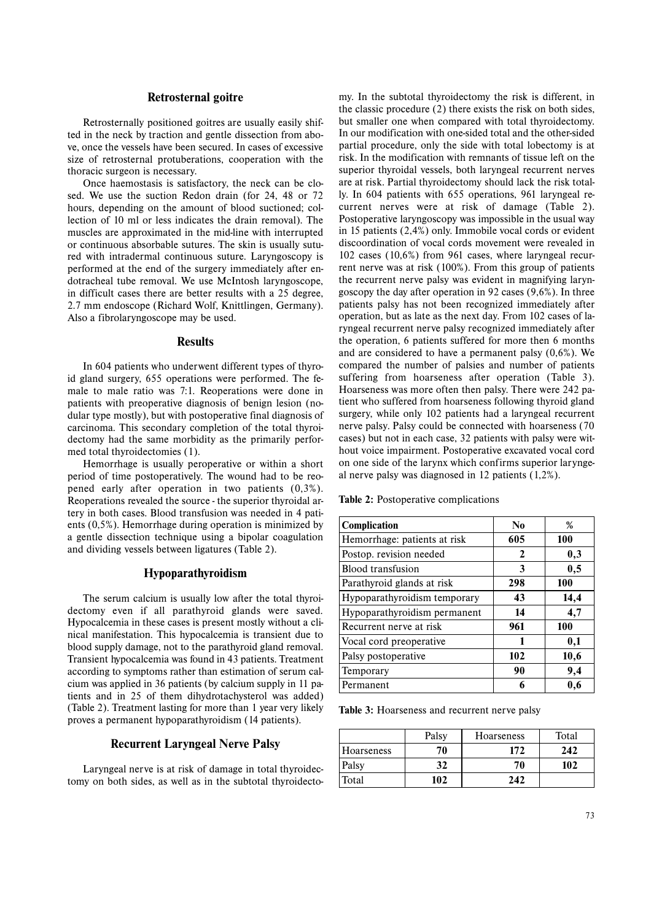## **Retrosternal goitre**

Retrosternally positioned goitres are usually easily shifted in the neck by traction and gentle dissection from above, once the vessels have been secured. In cases of excessive size of retrosternal protuberations, cooperation with the thoracic surgeon is necessary.

Once haemostasis is satisfactory, the neck can be closed. We use the suction Redon drain (for 24, 48 or 72 hours, depending on the amount of blood suctioned; collection of 10 ml or less indicates the drain removal). The muscles are approximated in the mid-line with interrupted or continuous absorbable sutures. The skin is usually sutured with intradermal continuous suture. Laryngoscopy is performed at the end of the surgery immediately after endotracheal tube removal. We use McIntosh laryngoscope, in difficult cases there are better results with a 25 degree, 2.7 mm endoscope (Richard Wolf, Knittlingen, Germany). Also a fibrolaryngoscope may be used.

# **Results**

In 604 patients who underwent different types of thyroid gland surgery, 655 operations were performed. The female to male ratio was 7:1. Reoperations were done in patients with preoperative diagnosis of benign lesion (nodular type mostly), but with postoperative final diagnosis of carcinoma. This secondary completion of the total thyroidectomy had the same morbidity as the primarily performed total thyroidectomies (1).

Hemorrhage is usually peroperative or within a short period of time postoperatively. The wound had to be reopened early after operation in two patients (0,3%). Reoperations revealed the source - the superior thyroidal artery in both cases. Blood transfusion was needed in 4 patients (0,5%). Hemorrhage during operation is minimized by <sup>a</sup> gentle dissection technique using a bipolar coagulation and dividing vessels between ligatures (Table 2).

# **Hypoparathyroidism**

The serum calcium is usually low after the total thyroidectomy even if all parathyroid glands were saved. Hypocalcemia in these cases is present mostly without a clinical manifestation. This hypocalcemia is transient due to blood supply damage, not to the parathyroid gland removal. Transient hypocalcemia was found in 43 patients. Treatment according to symptoms rather than estimation of serum calcium was applied in 36 patients (by calcium supply in 11 patients and in 25 of them dihydrotachysterol was added) (Table 2). Treatment lasting for more than 1 year very likely proves a permanent hypoparathyroidism (14 patients).

# **Recurrent Laryngeal Nerve Palsy**

Laryngeal nerve is at risk of damage in total thyroidectomy on both sides, as well as in the subtotal thyroidectomy. In the subtotal thyroidectomy the risk is different, in the classic procedure (2) there exists the risk on both sides, but smaller one when compared with total thyroidectomy. In our modification with one-sided total and the other-sided partial procedure, only the side with total lobectomy is at risk. In the modification with remnants of tissue left on the superior thyroidal vessels, both laryngeal recurrent nerves are at risk. Partial thyroidectomy should lack the risk total ly. In 604 patients with 655 operations, 961 laryngeal re current nerves were at risk of damage (Table 2). Postoperative laryngoscopy was impossible in the usual way in 15 patients (2,4%) only. Immobile vocal cords or evident discoordination of vocal cords movement were revealed in 102 cases (10,6%) from 961 cases, where laryngeal recur rent nerve was at risk (100%). From this group of patients the recurrent nerve palsy was evident in magnifying laryn goscopy the day after operation in 92 cases (9,6%). In three patients palsy has not been recognized immediately after operation, but as late as the next day. From 102 cases of la ryngeal recurrent nerve palsy recognized immediately after the operation, 6 patients suffered for more then 6 months and are considered to have a permanent palsy (0,6%). We compared the number of palsies and number of patients suffering from hoarseness after operation (Table 3). Hoarseness was more often then palsy. There were 242 pa tient who suffered from hoarseness following thyroid gland surgery, while only 102 patients had a laryngeal recurrent nerve palsy. Palsy could be connected with hoarseness (70 cases) but not in each case, 32 patients with palsy were wit hout voice impairment. Postoperative excavated vocal cord on one side of the larynx which confirms superior larynge al nerve palsy was diagnosed in 12 patients (1,2%).

**Table 2:** Postoperative complications

| Complication                 | N <sub>0</sub> | $\%$ |
|------------------------------|----------------|------|
| Hemorrhage: patients at risk | 605            | 100  |
| Postop. revision needed      | 2              | 0,3  |
| <b>Blood transfusion</b>     | 3              | 0,5  |
| Parathyroid glands at risk   | 298            | 100  |
| Hypoparathyroidism temporary | 43             | 14,4 |
| Hypoparathyroidism permanent | 14             | 4,7  |
| Recurrent nerve at risk      | 961            | 100  |
| Vocal cord preoperative      | 1              | 0,1  |
| Palsy postoperative          | 102            | 10,6 |
| Temporary                    | 90             | 9,4  |
| Permanent                    | 6              | 0,6  |

Table 3: Hoarseness and recurrent nerve palsy

|                   | Palsy | Hoarseness | Total |
|-------------------|-------|------------|-------|
| <b>Hoarseness</b> | 70    | 172        | 242   |
| Palsy             | 32    | 70         | 102   |
| Total             | 102   | 242        |       |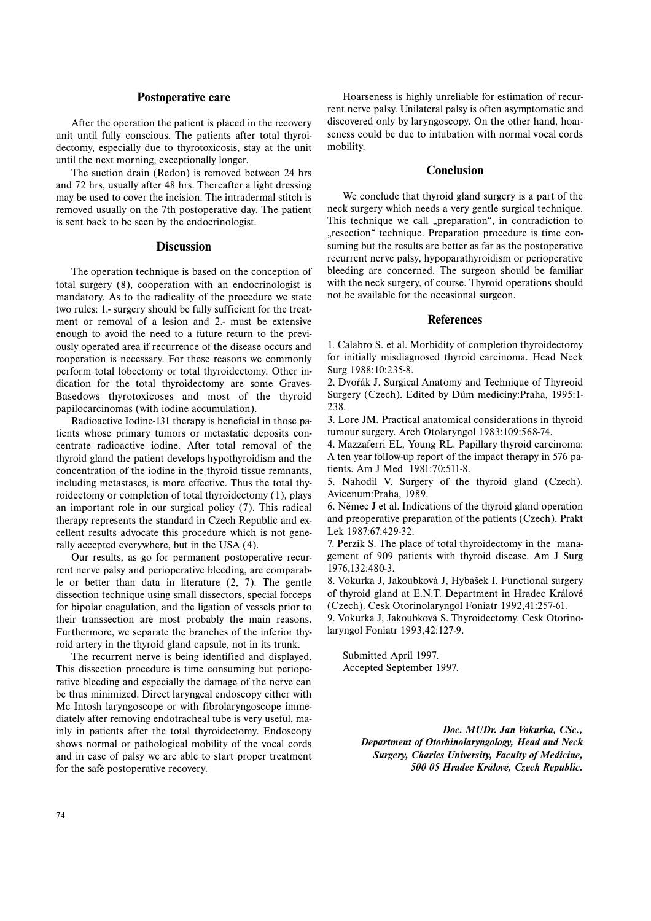## **Postoperative care**

After the operation the patient is placed in the recovery unit until fully conscious. The patients after total thyroidectomy, especially due to thyrotoxicosis, stay at the unit until the next morning, exceptionally longer.

The suction drain (Redon) is removed between 24 hrs and 72 hrs, usually after 48 hrs. Thereafter a light dressing may be used to cover the incision. The intradermal stitch is removed usually on the 7th postoperative day. The patient is sent back to be seen by the endocrinologist.

## **Discussion**

The operation technique is based on the conception of total surgery (8), cooperation with an endocrinologist is mandatory. As to the radicality of the procedure we state two rules: 1.- surgery should be fully sufficient for the treatment or removal of a lesion and 2.- must be extensive enough to avoid the need to a future return to the previously operated area if recurrence of the disease occurs and reoperation is necessary. For these reasons we commonly perform total lobectomy or total thyroidectomy. Other indication for the total thyroidectomy are some Graves-Basedows thyrotoxicoses and most of the thyroid papilocarcinomas (with iodine accumulation).

Radioactive Iodine-131 therapy is beneficial in those patients whose primary tumors or metastatic deposits concentrate radioactive iodine. After total removal of the thyroid gland the patient develops hypothyroidism and the concentration of the iodine in the thyroid tissue remnants, including metastases, is more effective. Thus the total thyroidectomy or completion of total thyroidectomy (1), plays an important role in our surgical policy (7). This radical therapy represents the standard in Czech Republic and excellent results advocate this procedure which is not generally accepted everywhere, but in the USA (4).

Our results, as go for permanent postoperative recurrent nerve palsy and perioperative bleeding, are comparable or better than data in literature (2, 7). The gentle dissection technique using small dissectors, special forceps for bipolar coagulation, and the ligation of vessels prior to their transsection are most probably the main reasons. Furthermore, we separate the branches of the inferior thyroid artery in the thyroid gland capsule, not in its trunk.

The recurrent nerve is being identified and displayed. This dissection procedure is time consuming but perioperative bleeding and especially the damage of the nerve can be thus minimized. Direct laryngeal endoscopy either with Mc Intosh laryngoscope or with fibrolaryngoscope immediately after removing endotracheal tube is very useful, mainly in patients after the total thyroidectomy. Endoscopy shows normal or pathological mobility of the vocal cords and in case of palsy we are able to start proper treatment for the safe postoperative recovery.

Hoarseness is highly unreliable for estimation of recurrent nerve palsy. Unilateral palsy is often asymptomatic and discovered only by laryngoscopy. On the other hand, hoarseness could be due to intubation with normal vocal cords mobility.

# **Conclusion**

We conclude that thyroid gland surgery is a part of the neck surgery which needs a very gentle surgical technique. This technique we call "preparation", in contradiction to "resection" technique. Preparation procedure is time consuming but the results are better as far as the postoperative recurrent nerve palsy, hypoparathyroidism or perioperative bleeding are concerned. The surgeon should be familiar with the neck surgery, of course. Thyroid operations should not be available for the occasional surgeon.

# **References**

1. Calabro S. et al. Morbidity of completion thyroidectomy for initially misdiagnosed thyroid carcinoma. Head Neck Surg 1988:10:235-8.

2. Dvořák J. Surgical Anatomy and Technique of Thyreoid Surgery (Czech). Edited by Dům medicíny:Praha, 1995:1- 238.

3. Lore JM. Practical anatomical considerations in thyroid tumour surgery. Arch Otolaryngol 1983:109:568-74.

4. Mazzaferri EL, Young RL. Papillary thyroid carcinoma: A ten year follow-up report of the impact therapy in 576 patients. Am J Med 1981:70:511-8.

5. Nahodil V. Surgery of the thyroid gland (Czech). Avicenum:Praha, 1989.

6. Němec J et al. Indications of the thyroid gland operation and preoperative preparation of the patients (Czech). Prakt Lek 1987:67:429-32.

7. Perzik S. The place of total thyroidectomy in the management of 909 patients with thyroid disease. Am J Surg 1976,132:480-3.

8. Vokurka J, Jakoubková J, Hybášek I. Functional surgery of thyroid gland at E.N.T. Department in Hradec Králové (Czech). Cesk Otorinolaryngol Foniatr 1992,41:257-61.

9. Vokurka J, Jakoubková S. Thyroidectomy. Cesk Otorinolaryngol Foniatr 1993,42:127-9.

Submitted April 1997. Accepted September 1997.

> *Doc. MUDr. Jan Vokurka, CSc., Department of Otorhinolaryngology, Head and Neck Surgery, Charles University, Faculty of Medicine, 500 05 Hradec Králové, Czech Republic.*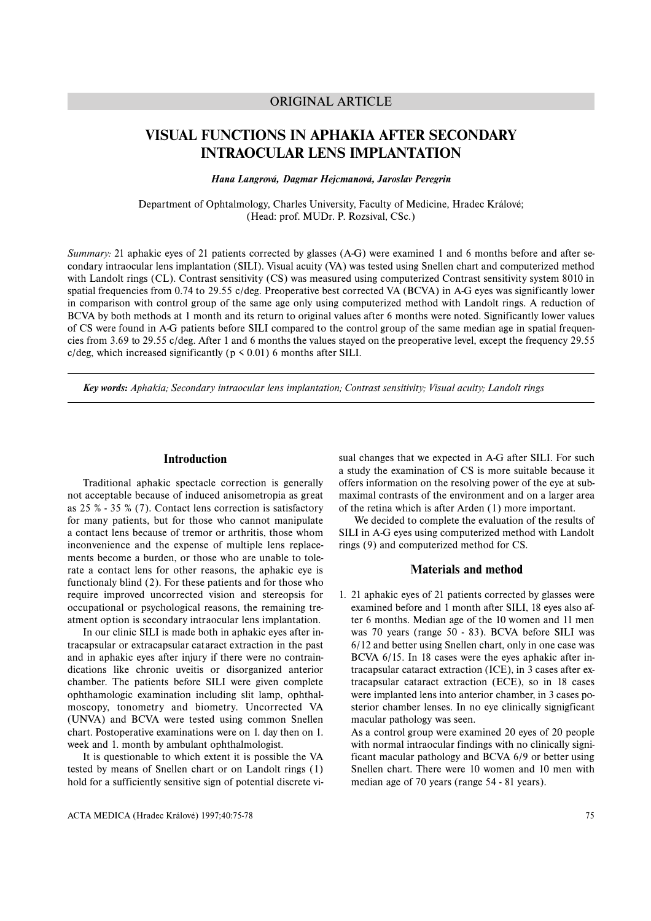# ORIGINAL ARTICLE

# **VISUAL FUNCTIONS IN APHAKIA AFTER SECONDARY INTRAOCULAR LENS IMPLANTATION**

*Hana Langrová, Dagmar Hejcmanová, Jaroslav Peregrin*

Department of Ophtalmology, Charles University, Faculty of Medicine, Hradec Králové; (Head: prof. MUDr. P. Rozsíval, CSc.)

*Summary:* 21 aphakic eyes of 21 patients corrected by glasses (A-G) were examined 1 and 6 months before and after secondary intraocular lens implantation (SILI). Visual acuity (VA) was tested using Snellen chart and computerized method with Landolt rings (CL). Contrast sensitivity (CS) was measured using computerized Contrast sensitivity system 8010 in spatial frequencies from 0.74 to 29.55 c/deg. Preoperative best corrected VA (BCVA) in A-G eyes was significantly lower in comparison with control group of the same age only using computerized method with Landolt rings. A reduction of BCVA by both methods at 1 month and its return to original values after 6 months were noted. Significantly lower values of CS were found in A-G patients before SILI compared to the control group of the same median age in spatial frequencies from 3.69 to 29.55 c/deg. After 1 and 6 months the values stayed on the preoperative level, except the frequency 29.55 c/deg, which increased significantly ( $p \le 0.01$ ) 6 months after SILI.

*Key words: Aphakia; Secondary intraocular lens implantation; Contrast sensitivity; Visual acuity; Landolt rings*

## **Introduction**

Traditional aphakic spectacle correction is generally not acceptable because of induced anisometropia as great as 25 % - 35 % (7). Contact lens correction is satisfactory for many patients, but for those who cannot manipulate <sup>a</sup> contact lens because of tremor or arthritis, those whom inconvenience and the expense of multiple lens replacements become a burden, or those who are unable to tolerate a contact lens for other reasons, the aphakic eye is functionaly blind (2). For these patients and for those who require improved uncorrected vision and stereopsis for occupational or psychological reasons, the remaining treatment option is secondary intraocular lens implantation.

In our clinic SILI is made both in aphakic eyes after intracapsular or extracapsular cataract extraction in the past and in aphakic eyes after injury if there were no contraindications like chronic uveitis or disorganized anterior chamber. The patients before SILI were given complete ophthamologic examination including slit lamp, ophthalmoscopy, tonometry and biometry. Uncorrected VA (UNVA) and BCVA were tested using common Snellen chart. Postoperative examinations were on 1. day then on 1. week and 1. month by ambulant ophthalmologist.

It is questionable to which extent it is possible the VA tested by means of Snellen chart or on Landolt rings (1) hold for a sufficiently sensitive sign of potential discrete visual changes that we expected in A-G after SILI. For such <sup>a</sup> study the examination of CS is more suitable because it offers information on the resolving power of the eye at sub maximal contrasts of the environment and on a larger area of the retina which is after Arden (1) more important.

We decided to complete the evaluation of the results of SILI in A-G eyes using computerized method with Landolt rings (9) and computerized method for CS.

# **Materials and method**

1. 21 aphakic eyes of 21 patients corrected by glasses were examined before and 1 month after SILI, 18 eyes also af ter 6 months. Median age of the 10 women and 11 men was 70 years (range 50 - 83). BCVA before SILI was 6/12 and better using Snellen chart, only in one case was BCVA 6/15. In 18 cases were the eyes aphakic after in tracapsular cataract extraction (ICE), in 3 cases after ex tracapsular cataract extraction (ECE), so in 18 cases were implanted lens into anterior chamber, in 3 cases po sterior chamber lenses. In no eye clinically signigficant macular pathology was seen.

As a control group were examined 20 eyes of 20 people with normal intraocular findings with no clinically signi ficant macular pathology and BCVA 6/9 or better using Snellen chart. There were 10 women and 10 men with median age of 70 years (range 54 - 81 years).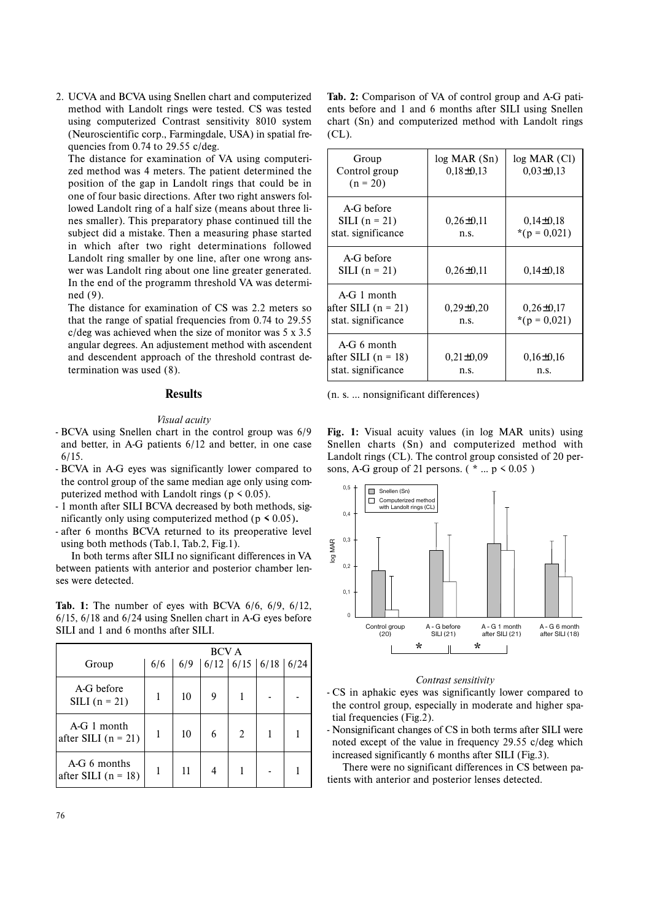2. UCVA and BCVA using Snellen chart and computerized method with Landolt rings were tested. CS was tested using computerized Contrast sensitivity 8010 system (Neuroscientific corp., Farmingdale, USA) in spatial frequencies from 0.74 to 29.55 c/deg.

The distance for examination of VA using computerized method was 4 meters. The patient determined the position of the gap in Landolt rings that could be in one of four basic directions. After two right answers followed Landolt ring of a half size (means about three lines smaller). This preparatory phase continued till the subject did a mistake. Then a measuring phase started in which after two right determinations followed Landolt ring smaller by one line, after one wrong answer was Landolt ring about one line greater generated. In the end of the programm threshold VA was determined (9).

The distance for examination of CS was 2.2 meters so that the range of spatial frequencies from 0.74 to 29.55 c/deg was achieved when the size of monitor was 5 x 3.5 angular degrees. An adjustement method with ascendent and descendent approach of the threshold contrast determination was used (8).

# **Results**

### *Visual acuity*

- BCVA using Snellen chart in the control group was 6/9 and better, in A-G patients 6/12 and better, in one case 6/15.
- BCVA in A-G eyes was significantly lower compared to the control group of the same median age only using computerized method with Landolt rings ( $p \le 0.05$ ).
- 1 month after SILI BCVA decreased by both methods, significantly only using computerized method ( $p \le 0.05$ ).
- after 6 months BCVA returned to its preoperative level using both methods (Tab.1, Tab.2, Fig.1).

In both terms after SILI no significant differences in VA between patients with anterior and posterior chamber lenses were detected.

**Tab. 1:** The number of eyes with BCVA 6/6, 6/9, 6/12, 6/15, 6/18 and 6/24 using Snellen chart in A-G eyes before SILI and 1 and 6 months after SILI.

|                                       |     |     | <b>BCV A</b>        |   |  |
|---------------------------------------|-----|-----|---------------------|---|--|
| Group                                 | 6/6 | 6/9 | 6/12 6/15 6/18 6/24 |   |  |
| A-G before<br>SILI $(n = 21)$         |     | 10  | 9                   |   |  |
| $A-G1$ month<br>after SILI $(n = 21)$ |     | 10  | 6                   | 2 |  |
| A-G 6 months<br>after SILI $(n = 18)$ |     | 11  |                     |   |  |

**Tab. 2:** Comparison of VA of control group and A-G patients before and 1 and 6 months after SILI using Snellen chart (Sn) and computerized method with Landolt rings (CL).

| Group<br>Control group<br>$(n = 20)$                         | $log$ MAR $(Sn)$<br>$0,18\pm0,13$ | $log$ MAR $(Cl)$<br>$0,03\pm0,13$   |
|--------------------------------------------------------------|-----------------------------------|-------------------------------------|
| A-G before<br>SILI $(n = 21)$<br>stat. significance          | $0,26 \pm 0,11$<br>n.s.           | $0,14\pm0,18$<br>*(p = $0.021$ )    |
| A-G before<br>SILI $(n = 21)$                                | $0.26 \pm 0.11$                   | $0.14 \pm 0.18$                     |
| $A - G$ 1 month<br>after SILI (n = 21)<br>stat. significance | $0,29\pm0,20$<br>n.s.             | $0,26 \pm 0,17$<br>*( $p = 0.021$ ) |
| $A-G_6$ month<br>after SILI (n = 18)<br>stat. significance   | $0.21 \pm 0.09$<br>n.s.           | $0,16\pm0,16$<br>n.s.               |

(n. s. ... nonsignificant differences)

**Fig. 1:** Visual acuity values (in log MAR units) using Snellen charts (Sn) and computerized method with Landolt rings (CL). The control group consisted of 20 persons, A-G group of 21 persons. ( $* \dots p \le 0.05$ )



### *Contrast sensitivity*

- CS in aphakic eyes was significantly lower compared to the control group, especially in moderate and higher spatial frequencies (Fig.2).
- Nonsignificant changes of CS in both terms after SILI were noted except of the value in frequency 29.55 c/deg which increased significantly 6 months after SILI (Fig.3).

There were no significant differences in CS between patients with anterior and posterior lenses detected.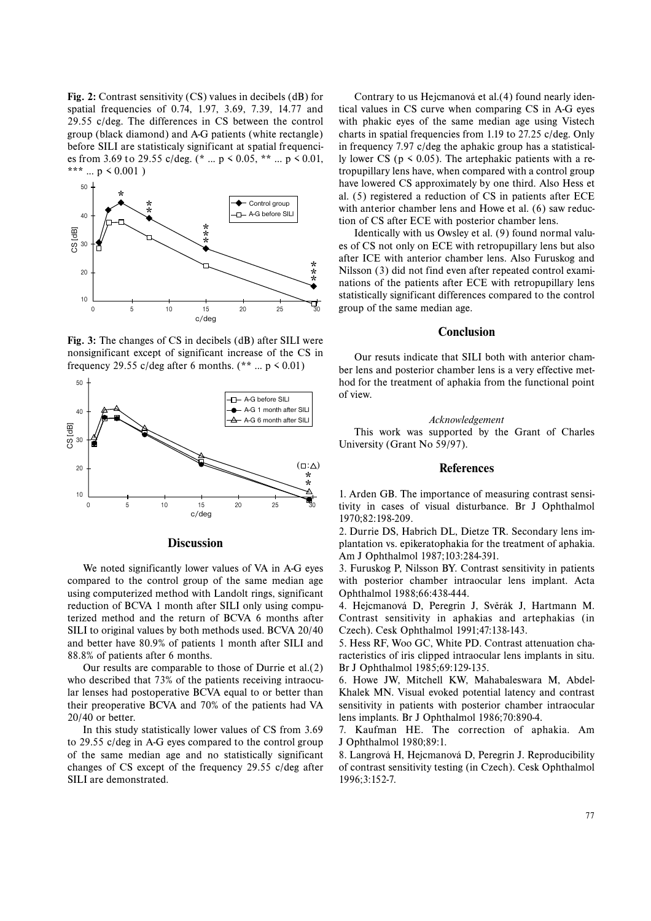**Fig. 2:** Contrast sensitivity (CS) values in decibels (dB) for spatial frequencies of 0.74, 1.97, 3.69, 7.39, 14.77 and 29.55 c/deg. The differences in CS between the control group (black diamond) and A-G patients (white rectangle) before SILI are statisticaly significant at spatial frequencies from 3.69 to 29.55 c/deg. (\* ...  $p \le 0.05$ , \*\* ...  $p \le 0.01$ , \*\*\* ...  $p \le 0.001$ )



**Fig. 3:** The changes of CS in decibels (dB) after SILI were nonsignificant except of significant increase of the CS in frequency 29.55 c/deg after 6 months. (\*\* ...  $p \le 0.01$ )



| <b>Discussion</b> |
|-------------------|

We noted significantly lower values of VA in A-G eyes compared to the control group of the same median age using computerized method with Landolt rings, significant reduction of BCVA 1 month after SILI only using computerized method and the return of BCVA 6 months after SILI to original values by both methods used. BCVA 20/40 and better have 80.9% of patients 1 month after SILI and 88.8% of patients after 6 months.

Our results are comparable to those of Durrie et al.(2) who described that 73% of the patients receiving intraocular lenses had postoperative BCVA equal to or better than their preoperative BCVA and 70% of the patients had VA 20/40 or better.

In this study statistically lower values of CS from 3.69 to 29.55 c/deg in A-G eyes compared to the control group of the same median age and no statistically significant changes of CS except of the frequency 29.55 c/deg after SILI are demonstrated.

Contrary to us Hejcmanová et al.(4) found nearly identical values in CS curve when comparing CS in A-G eyes with phakic eyes of the same median age using Vistech charts in spatial frequencies from 1.19 to 27.25 c/deg. Only in frequency 7.97 c/deg the aphakic group has a statistically lower CS ( $p \le 0.05$ ). The artephakic patients with a retropupillary lens have, when compared with a control group have lowered CS approximately by one third. Also Hess et al. (5) registered a reduction of CS in patients after ECE with anterior chamber lens and Howe et al. (6) saw reduction of CS after ECE with posterior chamber lens.

Identically with us Owsley et al. (9) found normal values of CS not only on ECE with retropupillary lens but also after ICE with anterior chamber lens. Also Furuskog and Nilsson (3) did not find even after repeated control examinations of the patients after ECE with retropupillary lens statistically significant differences compared to the control group of the same median age.

## **Conclusion**

Our resuts indicate that SILI both with anterior chamber lens and posterior chamber lens is a very effective method for the treatment of aphakia from the functional point of view.

#### *Acknowledgement*

This work was supported by the Grant of Charles University (Grant No 59/97).

### **References**

1. Arden GB. The importance of measuring contrast sensitivity in cases of visual disturbance. Br J Ophthalmol 1970;82:198-209.

2. Durrie DS, Habrich DL, Dietze TR. Secondary lens implantation vs. epikeratophakia for the treatment of aphakia. Am J Ophthalmol 1987;103:284-391.

3. Furuskog P, Nilsson BY. Contrast sensitivity in patients with posterior chamber intraocular lens implant. Acta Ophthalmol 1988;66:438-444.

4. Hejcmanová D, Peregrin J, Svěrák J, Hartmann M. Contrast sensitivity in aphakias and artephakias (in Czech). Cesk Ophthalmol 1991;47:138-143.

5. Hess RF, Woo GC, White PD. Contrast attenuation characteristics of iris clipped intraocular lens implants in situ. Br J Ophthalmol 1985;69:129-135.

6. Howe JW, Mitchell KW, Mahabaleswara M, Abdel-Khalek MN. Visual evoked potential latency and contrast sensitivity in patients with posterior chamber intraocular lens implants. Br J Ophthalmol 1986;70:890-4.

7. Kaufman HE. The correction of aphakia. Am J Ophthalmol 1980;89:1.

8. Langrová H, Hejcmanová D, Peregrin J. Reproducibility of contrast sensitivity testing (in Czech). Cesk Ophthalmol 1996;3:152-7.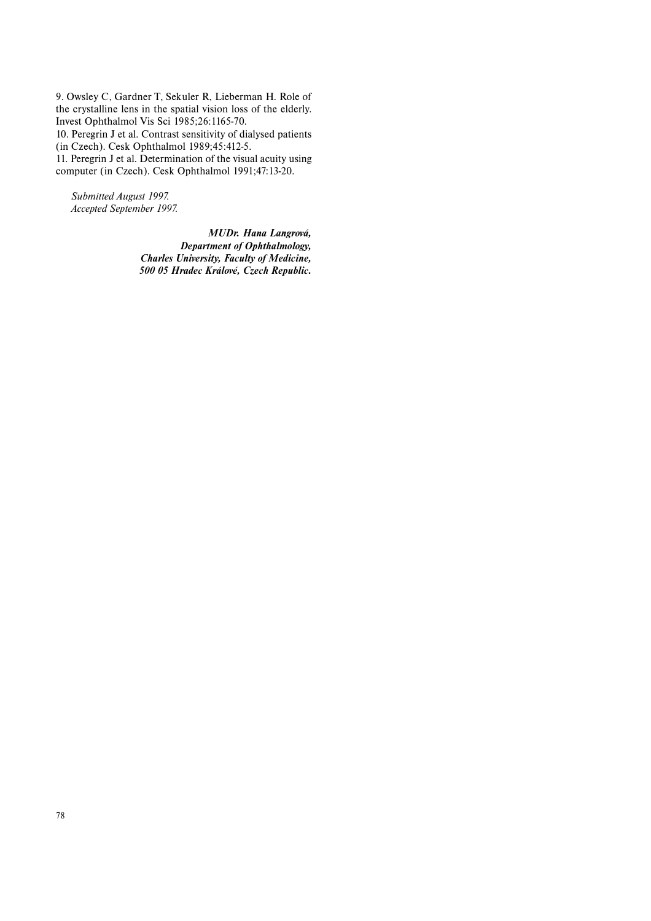9. Owsley C, Gardner T, Sekuler R, Lieberman H. Role of the crystalline lens in the spatial vision loss of the elderly. Invest Ophthalmol Vis Sci 1985;26:1165-70. 10. Peregrin J et al. Contrast sensitivity of dialysed patients (in Czech). Cesk Ophthalmol 1989;45:412-5.

11. Peregrin J et al. Determination of the visual acuity using computer (in Czech). Cesk Ophthalmol 1991;47:13-20.

*Submitted August 1997. Accepted September 1997.*

> *MUDr. Hana Langrová, Department of Ophthalmology, Charles University, Faculty of Medicine, 500 05 Hradec Králové, Czech Republic.*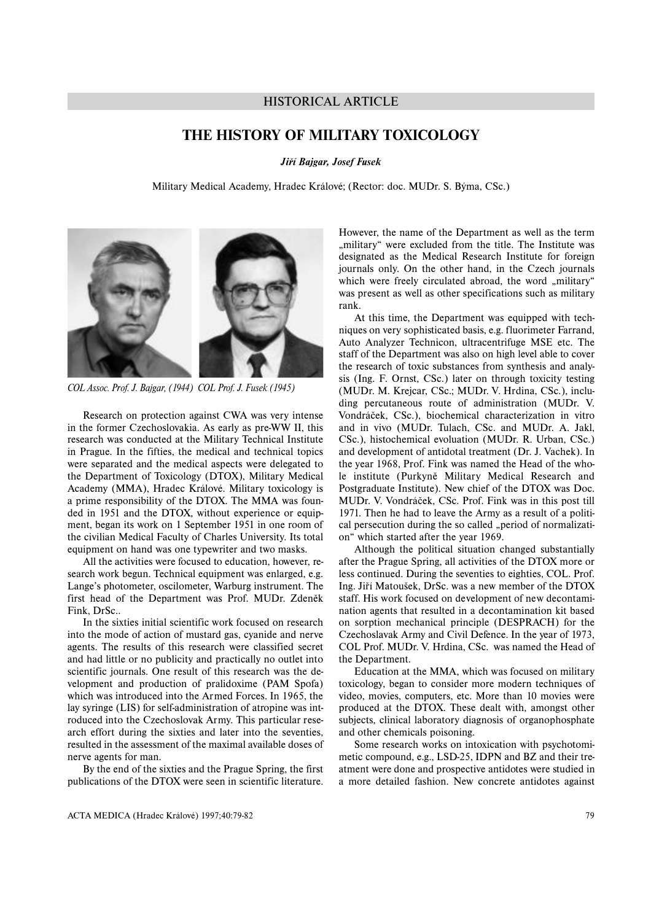# HISTORICAL ARTICLE

# **THE HISTORY OF MILITARY TOXICOLOGY**

*Jiří Bajgar, Josef Fusek*

Military Medical Academy, Hradec Králové; (Rector: doc. MUDr. S. Býma, CSc.)



*COL Assoc. Prof. J. Bajgar, (1944) COL Prof. J. Fusek (1945)*

Research on protection against CWA was very intense in the former Czechoslovakia. As early as pre-WW II, this research was conducted at the Military Technical Institute in Prague. In the fifties, the medical and technical topics were separated and the medical aspects were delegated to the Department of Toxicology (DTOX), Military Medical Academy (MMA), Hradec Králové. Military toxicology is <sup>a</sup> prime responsibility of the DTOX. The MMA was founded in 1951 and the DTOX, without experience or equipment, began its work on 1 September 1951 in one room of the civilian Medical Faculty of Charles University. Its total equipment on hand was one typewriter and two masks.

All the activities were focused to education, however, research work begun. Technical equipment was enlarged, e.g. Lange's photometer, oscilometer, Warburg instrument. The first head of the Department was Prof. MUDr. Zdeněk Fink, DrSc..

In the sixties initial scientific work focused on research into the mode of action of mustard gas, cyanide and nerve agents. The results of this research were classified secret and had little or no publicity and practically no outlet into scientific journals. One result of this research was the development and production of pralidoxime (PAM Spofa) which was introduced into the Armed Forces. In 1965, the lay syringe (LIS) for self-administration of atropine was introduced into the Czechoslovak Army. This particular research effort during the sixties and later into the seventies, resulted in the assessment of the maximal available doses of nerve agents for man.

By the end of the sixties and the Prague Spring, the first publications of the DTOX were seen in scientific literature.

However, the name of the Department as well as the term "military" were excluded from the title. The Institute was designated as the Medical Research Institute for foreign journals only. On the other hand, in the Czech journals which were freely circulated abroad, the word "military" was present as well as other specifications such as military rank.

At this time, the Department was equipped with techniques on very sophisticated basis, e.g. fluorimeter Farrand, Auto Analyzer Technicon, ultracentrifuge MSE etc. The staff of the Department was also on high level able to cover the research of toxic substances from synthesis and analysis (Ing. F. Ornst, CSc.) later on through toxicity testing (MUDr. M. Krejcar, CSc.; MUDr. V. Hrdina, CSc.), including percutaneous route of administration (MUDr. V. Vondráček, CSc.), biochemical characterization in vitro and in vivo (MUDr. Tulach, CSc. and MUDr. A. Jakl, CSc.), histochemical evoluation (MUDr. R. Urban, CSc.) and development of antidotal treatment (Dr. J. Vachek). In the year 1968, Prof. Fink was named the Head of the whole institute (Purkyně Military Medical Research and Postgraduate Institute). New chief of the DTOX was Doc. MUDr. V. Vondráček, CSc. Prof. Fink was in this post till 1971. Then he had to leave the Army as a result of a political persecution during the so called "period of normalization" which started after the year 1969.

Although the political situation changed substantially after the Prague Spring, all activities of the DTOX more or less continued. During the seventies to eighties, COL. Prof. Ing. Jiří Matoušek, DrSc. was a new member of the DTOX staff. His work focused on development of new decontamination agents that resulted in a decontamination kit based on sorption mechanical principle (DESPRACH) for the Czechoslavak Army and Civil Defence. In the year of 1973, COL Prof. MUDr. V. Hrdina, CSc. was named the Head of the Department.

Education at the MMA, which was focused on military toxicology, began to consider more modern techniques of video, movies, computers, etc. More than 10 movies were produced at the DTOX. These dealt with, amongst other subjects, clinical laboratory diagnosis of organophosphate and other chemicals poisoning.

Some research works on intoxication with psychotomimetic compound, e.g., LSD-25, IDPN and BZ and their treatment were done and prospective antidotes were studied in <sup>a</sup> more detailed fashion. New concrete antidotes against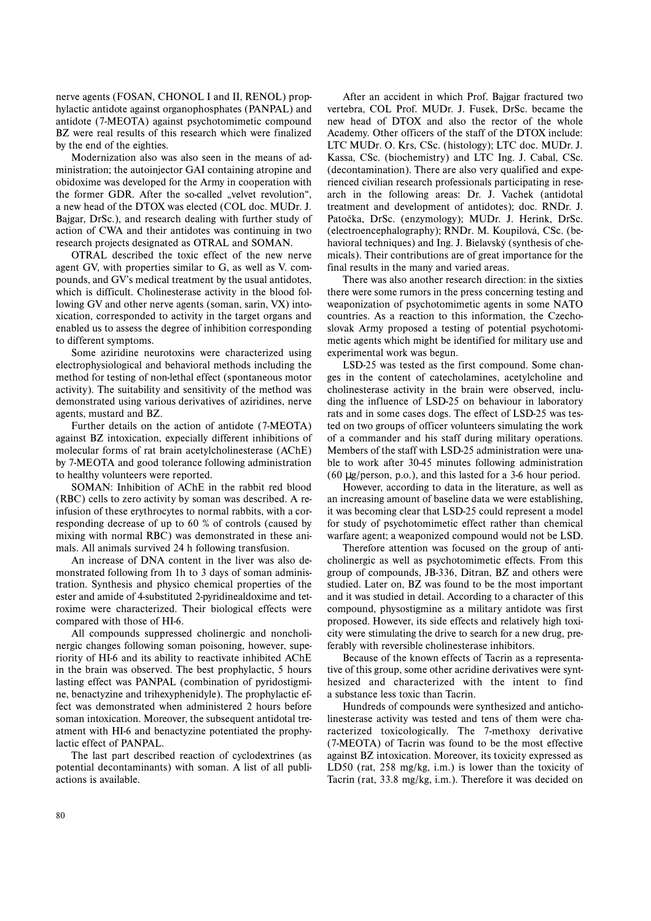nerve agents (FOSAN, CHONOL I and II, RENOL) prophylactic antidote against organophosphates (PANPAL) and antidote (7-MEOTA) against psychotomimetic compound BZ were real results of this research which were finalized by the end of the eighties.

Modernization also was also seen in the means of administration; the autoinjector GAI containing atropine and obidoxime was developed for the Army in cooperation with the former GDR. After the so-called "velvet revolution", <sup>a</sup> new head of the DTOX was elected (COL doc. MUDr. J. Bajgar, DrSc.), and research dealing with further study of action of CWA and their antidotes was continuing in two research projects designated as OTRAL and SOMAN.

OTRAL described the toxic effect of the new nerve agent GV, with properties similar to G, as well as V. compounds, and GV's medical treatment by the usual antidotes, which is difficult. Cholinesterase activity in the blood following GV and other nerve agents (soman, sarin, VX) intoxication, corresponded to activity in the target organs and enabled us to assess the degree of inhibition corresponding to different symptoms.

Some aziridine neurotoxins were characterized using electrophysiological and behavioral methods including the method for testing of non-lethal effect (spontaneous motor activity). The suitability and sensitivity of the method was demonstrated using various derivatives of aziridines, nerve agents, mustard and BZ.

Further details on the action of antidote (7-MEOTA) against BZ intoxication, expecially different inhibitions of molecular forms of rat brain acetylcholinesterase (AChE) by 7-MEOTA and good tolerance following administration to healthy volunteers were reported.

SOMAN: Inhibition of AChE in the rabbit red blood (RBC) cells to zero activity by soman was described. A reinfusion of these erythrocytes to normal rabbits, with a corresponding decrease of up to 60 % of controls (caused by mixing with normal RBC) was demonstrated in these animals. All animals survived 24 h following transfusion.

An increase of DNA content in the liver was also demonstrated following from 1h to 3 days of soman administration. Synthesis and physico chemical properties of the ester and amide of 4-substituted 2-pyridinealdoxime and tetroxime were characterized. Their biological effects were compared with those of HI-6.

All compounds suppressed cholinergic and noncholinergic changes following soman poisoning, however, superiority of HI-6 and its ability to reactivate inhibited AChE in the brain was observed. The best prophylactic, 5 hours lasting effect was PANPAL (combination of pyridostigmine, benactyzine and trihexyphenidyle). The prophylactic effect was demonstrated when administered 2 hours before soman intoxication. Moreover, the subsequent antidotal treatment with HI-6 and benactyzine potentiated the prophylactic effect of PANPAL.

The last part described reaction of cyclodextrines (as potential decontaminants) with soman. A list of all publiactions is available.

After an accident in which Prof. Bajgar fractured two vertebra, COL Prof. MUDr. J. Fusek, DrSc. became the new head of DTOX and also the rector of the whole Academy. Other officers of the staff of the DTOX include: LTC MUDr. O. Krs, CSc. (histology); LTC doc. MUDr. J. Kassa, CSc. (biochemistry) and LTC Ing. J. Cabal, CSc. (decontamination). There are also very qualified and experienced civilian research professionals participating in research in the following areas: Dr. J. Vachek (antidotal treatment and development of antidotes); doc. RNDr. J. Patočka, DrSc. (enzymology); MUDr. J. Herink, DrSc. (electroencephalography); RNDr. M. Koupilová, CSc. (behavioral techniques) and Ing. J. Bielavský (synthesis of chemicals). Their contributions are of great importance for the final results in the many and varied areas.

There was also another research direction: in the sixties there were some rumors in the press concerning testing and weaponization of psychotomimetic agents in some NATO countries. As a reaction to this information, the Czechoslovak Army proposed a testing of potential psychotomimetic agents which might be identified for military use and experimental work was begun.

LSD-25 was tested as the first compound. Some changes in the content of catecholamines, acetylcholine and cholinesterase activity in the brain were observed, including the influence of LSD-25 on behaviour in laboratory rats and in some cases dogs. The effect of LSD-25 was tested on two groups of officer volunteers simulating the work of a commander and his staff during military operations. Members of the staff with LSD-25 administration were unable to work after 30-45 minutes following administration (60 µg/person, p.o.), and this lasted for a 3-6 hour period.

However, according to data in the literature, as well as an increasing amount of baseline data we were establishing, it was becoming clear that LSD-25 could represent a model for study of psychotomimetic effect rather than chemical warfare agent; a weaponized compound would not be LSD.

Therefore attention was focused on the group of anticholinergic as well as psychotomimetic effects. From this group of compounds, JB-336, Ditran, BZ and others were studied. Later on, BZ was found to be the most important and it was studied in detail. According to a character of this compound, physostigmine as a military antidote was first proposed. However, its side effects and relatively high toxicity were stimulating the drive to search for a new drug, preferably with reversible cholinesterase inhibitors.

Because of the known effects of Tacrin as a representative of this group, some other acridine derivatives were synthesized and characterized with the intent to find <sup>a</sup> substance less toxic than Tacrin.

Hundreds of compounds were synthesized and anticholinesterase activity was tested and tens of them were characterized toxicologically. The 7-methoxy derivative (7-MEOTA) of Tacrin was found to be the most effective against BZ intoxication. Moreover, its toxicity expressed as LD50 (rat, 258 mg/kg, i.m.) is lower than the toxicity of Tacrin (rat, 33.8 mg/kg, i.m.). Therefore it was decided on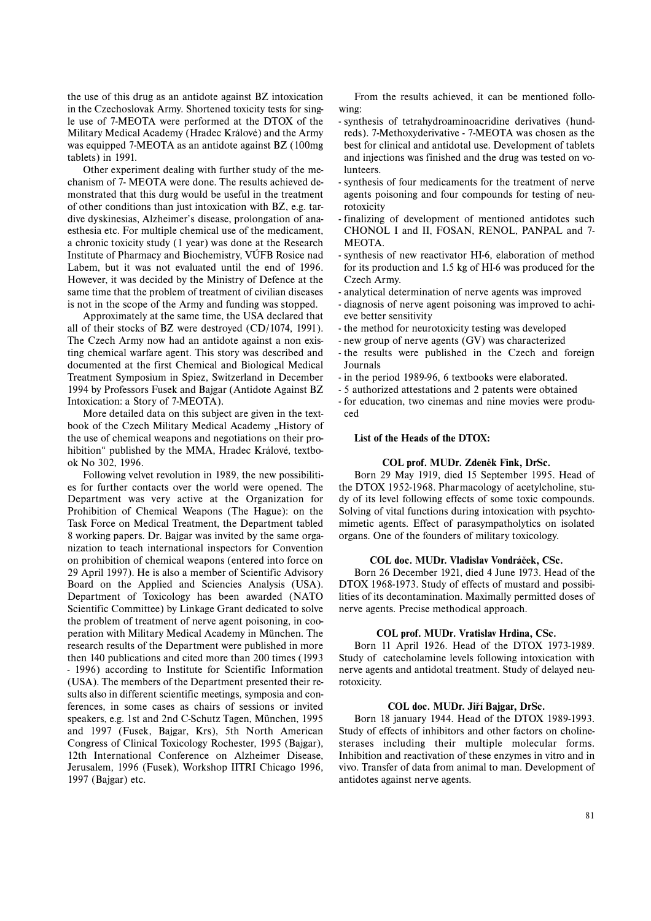the use of this drug as an antidote against BZ intoxication in the Czechoslovak Army. Shortened toxicity tests for single use of 7-MEOTA were performed at the DTOX of the Military Medical Academy (Hradec Králové) and the Army was equipped 7-MEOTA as an antidote against BZ (100mg tablets) in 1991.

Other experiment dealing with further study of the mechanism of 7- MEOTA were done. The results achieved demonstrated that this durg would be useful in the treatment of other conditions than just intoxication with BZ, e.g. tardive dyskinesias, Alzheimer's disease, prolongation of anaesthesia etc. For multiple chemical use of the medicament, <sup>a</sup> chronic toxicity study (1 year) was done at the Research Institute of Pharmacy and Biochemistry, VÚFB Rosice nad Labem, but it was not evaluated until the end of 1996. However, it was decided by the Ministry of Defence at the same time that the problem of treatment of civilian diseases is not in the scope of the Army and funding was stopped.

Approximately at the same time, the USA declared that all of their stocks of BZ were destroyed (CD/1074, 1991). The Czech Army now had an antidote against a non existing chemical warfare agent. This story was described and documented at the first Chemical and Biological Medical Treatment Symposium in Spiez, Switzerland in December 1994 by Professors Fusek and Bajgar (Antidote Against BZ Intoxication: a Story of 7-MEOTA).

More detailed data on this subject are given in the textbook of the Czech Military Medical Academy "History of the use of chemical weapons and negotiations on their prohibition" published by the MMA, Hradec Králové, textbook No 302, 1996.

Following velvet revolution in 1989, the new possibilities for further contacts over the world were opened. The Department was very active at the Organization for Prohibition of Chemical Weapons (The Hague): on the Task Force on Medical Treatment, the Department tabled 8 working papers. Dr. Bajgar was invited by the same organization to teach international inspectors for Convention on prohibition of chemical weapons (entered into force on 29 April 1997). He is also a member of Scientific Advisory Board on the Applied and Sciencies Analysis (USA). Department of Toxicology has been awarded (NATO Scientific Committee) by Linkage Grant dedicated to solve the problem of treatment of nerve agent poisoning, in cooperation with Military Medical Academy in München. The research results of the Department were published in more then 140 publications and cited more than 200 times (1993 - 1996) according to Institute for Scientific Information (USA). The members of the Department presented their results also in different scientific meetings, symposia and conferences, in some cases as chairs of sessions or invited speakers, e.g. 1st and 2nd C-Schutz Tagen, München, 1995 and 1997 (Fusek, Bajgar, Krs), 5th North American Congress of Clinical Toxicology Rochester, 1995 (Bajgar), 12th International Conference on Alzheimer Disease, Jerusalem, 1996 (Fusek), Workshop IITRI Chicago 1996, 1997 (Bajgar) etc.

From the results achieved, it can be mentioned following:

- synthesis of tetrahydroaminoacridine derivatives (hundreds). 7-Methoxyderivative - 7-MEOTA was chosen as the best for clinical and antidotal use. Development of tablets and injections was finished and the drug was tested on volunteers.
- synthesis of four medicaments for the treatment of nerve agents poisoning and four compounds for testing of neurotoxicity
- finalizing of development of mentioned antidotes such CHONOL I and II, FOSAN, RENOL, PANPAL and 7- MEOTA.
- synthesis of new reactivator HI-6, elaboration of method for its production and 1.5 kg of HI-6 was produced for the Czech Army.
- analytical determination of nerve agents was improved
- diagnosis of nerve agent poisoning was improved to achieve better sensitivity
- the method for neurotoxicity testing was developed
- new group of nerve agents (GV) was characterized
- the results were published in the Czech and foreign Journals
- in the period 1989-96, 6 textbooks were elaborated.
- 5 authorized attestations and 2 patents were obtained
- for education, two cinemas and nine movies were produced

## **List of the Heads of the DTOX:**

### **COL prof. MUDr. Zdeněk Fink, DrSc.**

Born 29 May 1919, died 15 September 1995. Head of the DTOX 1952-1968. Pharmacology of acetylcholine, study of its level following effects of some toxic compounds. Solving of vital functions during intoxication with psychtomimetic agents. Effect of parasympatholytics on isolated organs. One of the founders of military toxicology.

## **COL doc. MUDr. Vladislav Vondráček, CSc.**

Born 26 December 1921, died 4 June 1973. Head of the DTOX 1968-1973. Study of effects of mustard and possibilities of its decontamination. Maximally permitted doses of nerve agents. Precise methodical approach.

## **COL prof. MUDr. Vratislav Hrdina, CSc.**

Born 11 April 1926. Head of the DTOX 1973-1989. Study of catecholamine levels following intoxication with nerve agents and antidotal treatment. Study of delayed neurotoxicity.

## **COL doc. MUDr. Jiří Bajgar, DrSc.**

Born 18 january 1944. Head of the DTOX 1989-1993. Study of effects of inhibitors and other factors on cholinesterases including their multiple molecular forms. Inhibition and reactivation of these enzymes in vitro and in vivo. Transfer of data from animal to man. Development of antidotes against nerve agents.